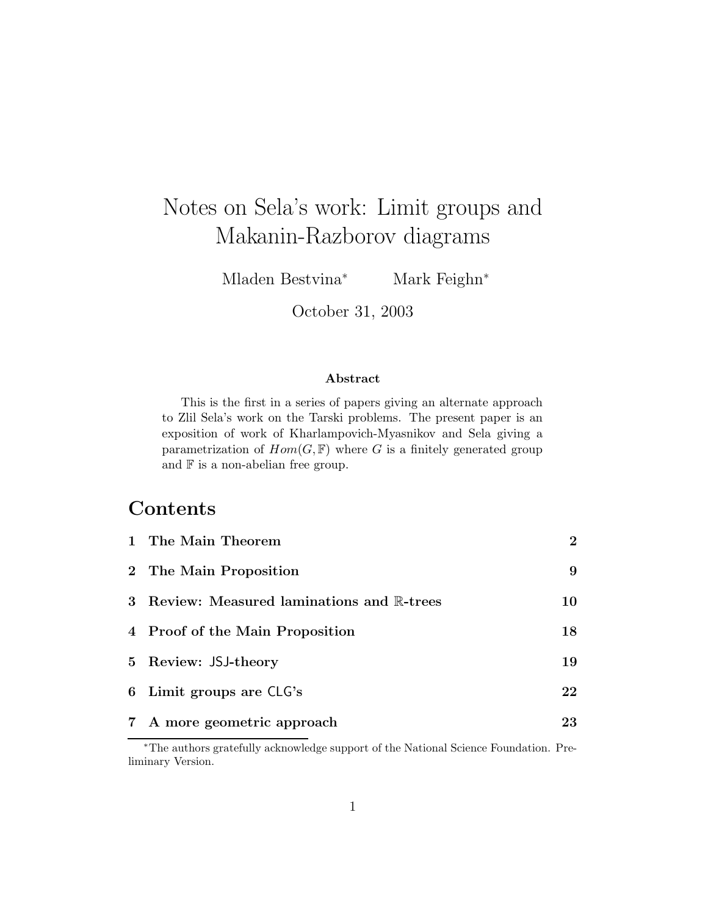# Notes on Sela's work: Limit groups and Makanin-Razborov diagrams

Mladen Bestvina<sup>∗</sup> Mark Feighn<sup>∗</sup>

October 31, 2003

#### Abstract

This is the first in a series of papers giving an alternate approach to Zlil Sela's work on the Tarski problems. The present paper is an exposition of work of Kharlampovich-Myasnikov and Sela giving a parametrization of  $Hom(G, \mathbb{F})$  where G is a finitely generated group and  $\mathbb F$  is a non-abelian free group.

# **Contents**

| 1 The Main Theorem                         | $\mathbf{2}$ |
|--------------------------------------------|--------------|
| 2 The Main Proposition                     | 9            |
| 3 Review: Measured laminations and R-trees | 10           |
| 4 Proof of the Main Proposition            | 18           |
| 5 Review: JSJ-theory                       | 19           |
| 6 Limit groups are CLG's                   | 22           |
| 7 A more geometric approach                | 23           |

<sup>∗</sup>The authors gratefully acknowledge support of the National Science Foundation. Preliminary Version.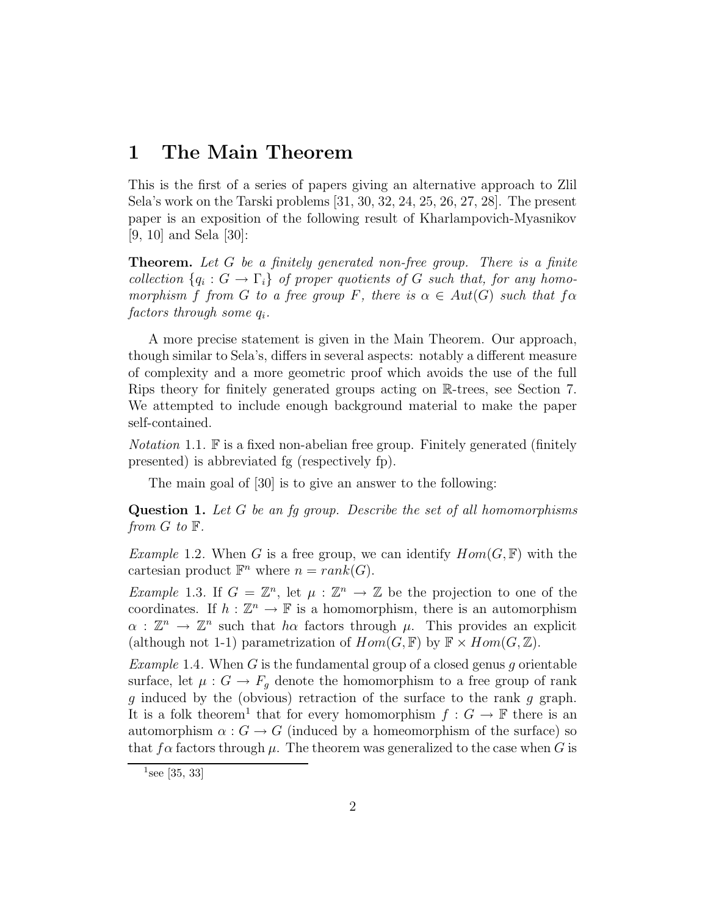### 1 The Main Theorem

This is the first of a series of papers giving an alternative approach to Zlil Sela's work on the Tarski problems [31, 30, 32, 24, 25, 26, 27, 28]. The present paper is an exposition of the following result of Kharlampovich-Myasnikov [9, 10] and Sela [30]:

**Theorem.** Let G be a finitely generated non-free group. There is a finite collection  $\{q_i : G \to \Gamma_i\}$  of proper quotients of G such that, for any homomorphism f from G to a free group F, there is  $\alpha \in Aut(G)$  such that  $f \alpha$  $factors$  through some  $q_i$ .

A more precise statement is given in the Main Theorem. Our approach, though similar to Sela's, differs in several aspects: notably a different measure of complexity and a more geometric proof which avoids the use of the full Rips theory for finitely generated groups acting on R-trees, see Section 7. We attempted to include enough background material to make the paper self-contained.

Notation 1.1. F is a fixed non-abelian free group. Finitely generated (finitely presented) is abbreviated fg (respectively fp).

The main goal of [30] is to give an answer to the following:

Question 1. Let G be an fg group. Describe the set of all homomorphisms from  $G$  to  $\mathbb{F}$ .

Example 1.2. When G is a free group, we can identify  $Hom(G, \mathbb{F})$  with the cartesian product  $\mathbb{F}^n$  where  $n = rank(G)$ .

*Example* 1.3. If  $G = \mathbb{Z}^n$ , let  $\mu : \mathbb{Z}^n \to \mathbb{Z}$  be the projection to one of the coordinates. If  $h : \mathbb{Z}^n \to \mathbb{F}$  is a homomorphism, there is an automorphism  $\alpha : \mathbb{Z}^n \to \mathbb{Z}^n$  such that  $h\alpha$  factors through  $\mu$ . This provides an explicit (although not 1-1) parametrization of  $Hom(G, \mathbb{F})$  by  $\mathbb{F} \times Hom(G, \mathbb{Z})$ .

Example 1.4. When G is the fundamental group of a closed genus g orientable surface, let  $\mu: G \to F_g$  denote the homomorphism to a free group of rank g induced by the (obvious) retraction of the surface to the rank g graph. It is a folk theorem<sup>1</sup> that for every homomorphism  $f: G \to \mathbb{F}$  there is an automorphism  $\alpha$ :  $G \to G$  (induced by a homeomorphism of the surface) so that  $f\alpha$  factors through  $\mu$ . The theorem was generalized to the case when G is

 $1$ see [35, 33]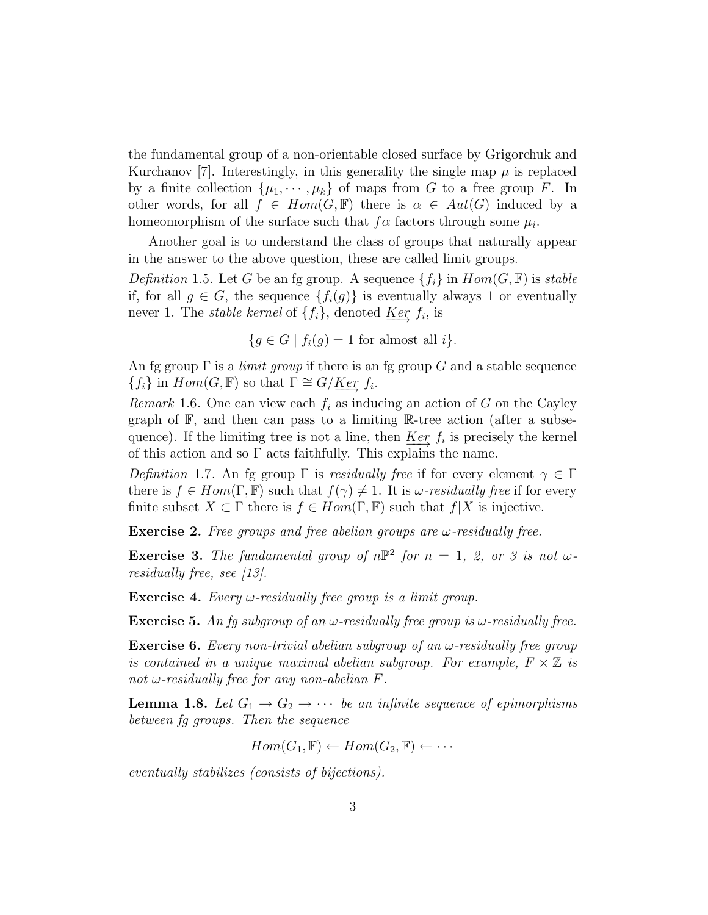the fundamental group of a non-orientable closed surface by Grigorchuk and Kurchanov [7]. Interestingly, in this generality the single map  $\mu$  is replaced by a finite collection  $\{\mu_1, \dots, \mu_k\}$  of maps from G to a free group F. In other words, for all  $f \in Hom(G, \mathbb{F})$  there is  $\alpha \in Aut(G)$  induced by a homeomorphism of the surface such that  $f\alpha$  factors through some  $\mu_i$ .

Another goal is to understand the class of groups that naturally appear in the answer to the above question, these are called limit groups.

Definition 1.5. Let G be an fg group. A sequence  $\{f_i\}$  in  $Hom(G, \mathbb{F})$  is stable if, for all  $g \in G$ , the sequence  $\{f_i(g)\}\$ is eventually always 1 or eventually never 1. The *stable kernel* of  $\{f_i\}$ , denoted <u>Ker</u>  $f_i$ , is

$$
\{g \in G \mid f_i(g) = 1 \text{ for almost all } i\}.
$$

An fg group  $\Gamma$  is a *limit group* if there is an fg group G and a stable sequence  ${f_i}$  in  $Hom(G, \mathbb{F})$  so that  $\Gamma \cong G/Ker f_i$ .

*Remark* 1.6. One can view each  $f_i$  as inducing an action of G on the Cayley graph of  $\mathbb{F}$ , and then can pass to a limiting  $\mathbb{R}$ -tree action (after a subsequence). If the limiting tree is not a line, then  $\frac{Ker}{\cdots} f_i$  is precisely the kernel of this action and so Γ acts faithfully. This explains the name.

Definition 1.7. An fg group  $\Gamma$  is residually free if for every element  $\gamma \in \Gamma$ there is  $f \in Hom(\Gamma, \mathbb{F})$  such that  $f(\gamma) \neq 1$ . It is  $\omega$ -residually free if for every finite subset  $X \subset \Gamma$  there is  $f \in Hom(\Gamma, \mathbb{F})$  such that  $f|X$  is injective.

**Exercise 2.** Free groups and free abelian groups are  $\omega$ -residually free.

**Exercise 3.** The fundamental group of  $n\mathbb{P}^2$  for  $n = 1, 2,$  or 3 is not  $\omega$ residually free, see [13].

**Exercise 4.** Every  $\omega$ -residually free group is a limit group.

**Exercise 5.** An fg subgroup of an  $\omega$ -residually free group is  $\omega$ -residually free.

**Exercise 6.** Every non-trivial abelian subgroup of an  $\omega$ -residually free group is contained in a unique maximal abelian subgroup. For example,  $F \times \mathbb{Z}$  is not  $\omega$ -residually free for any non-abelian F.

**Lemma 1.8.** Let  $G_1 \rightarrow G_2 \rightarrow \cdots$  be an infinite sequence of epimorphisms between fg groups. Then the sequence

$$
Hom(G_1, \mathbb{F}) \leftarrow Hom(G_2, \mathbb{F}) \leftarrow \cdots
$$

eventually stabilizes (consists of bijections).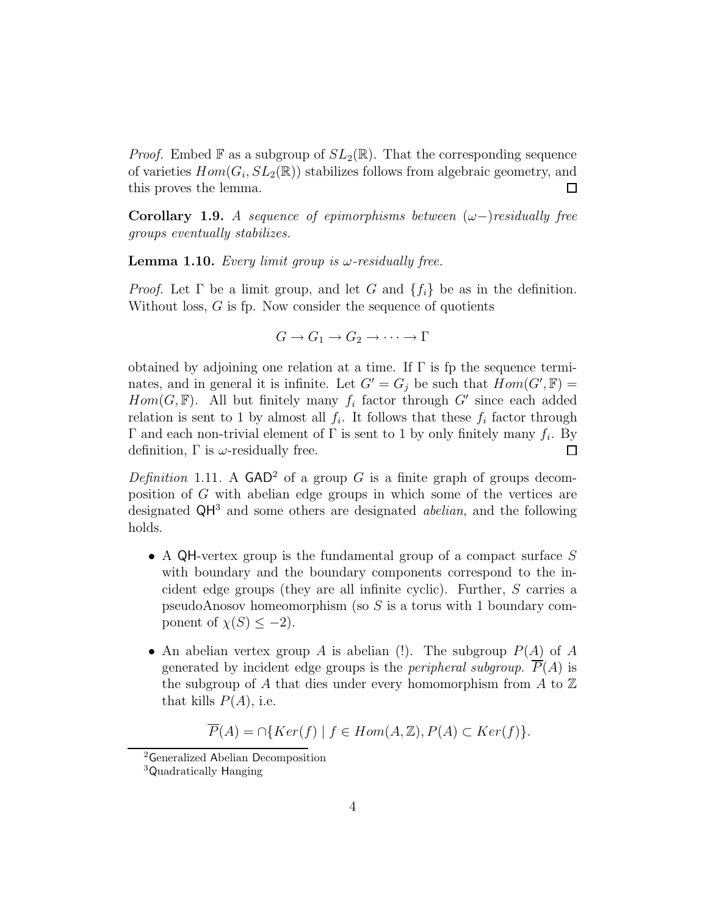*Proof.* Embed F as a subgroup of  $SL_2(\mathbb{R})$ . That the corresponding sequence of varieties  $Hom(G_i, SL_2(\mathbb{R}))$  stabilizes follows from algebraic geometry, and  $\Box$ this proves the lemma.

Corollary 1.9. A sequence of epimorphisms between  $(\omega-)$  residually free groups eventually stabilizes.

**Lemma 1.10.** Every limit group is  $\omega$ -residually free.

*Proof.* Let  $\Gamma$  be a limit group, and let G and  $\{f_i\}$  be as in the definition. Without loss, G is fp. Now consider the sequence of quotients

$$
G \to G_1 \to G_2 \to \cdots \to \Gamma
$$

obtained by adjoining one relation at a time. If Γ is fp the sequence terminates, and in general it is infinite. Let  $G' = G_j$  be such that  $Hom(G', \mathbb{F}) =$  $Hom(G, \mathbb{F})$ . All but finitely many  $f_i$  factor through G' since each added relation is sent to 1 by almost all  $f_i$ . It follows that these  $f_i$  factor through Γ and each non-trivial element of Γ is sent to 1 by only finitely many  $f_i$ . By definition,  $\Gamma$  is  $\omega$ -residually free.  $\Box$ 

Definition 1.11. A  $GAD^2$  of a group G is a finite graph of groups decomposition of G with abelian edge groups in which some of the vertices are designated  $QH<sup>3</sup>$  and some others are designated *abelian*, and the following holds.

- A QH-vertex group is the fundamental group of a compact surface  $S$ with boundary and the boundary components correspond to the incident edge groups (they are all infinite cyclic). Further, S carries a pseudoAnosov homeomorphism (so  $S$  is a torus with 1 boundary component of  $\chi(S) \leq -2$ ).
- An abelian vertex group A is abelian (!). The subgroup  $P(A)$  of A generated by incident edge groups is the *peripheral subgroup*.  $\overline{P}(A)$  is the subgroup of A that dies under every homomorphism from A to  $\mathbb Z$ that kills  $P(A)$ , i.e.

 $\overline{P}(A) = \bigcap \{Ker(f) \mid f \in Hom(A, \mathbb{Z}), P(A) \subset Ker(f)\}.$ 

<sup>2</sup>Generalized Abelian Decomposition

<sup>3</sup>Quadratically Hanging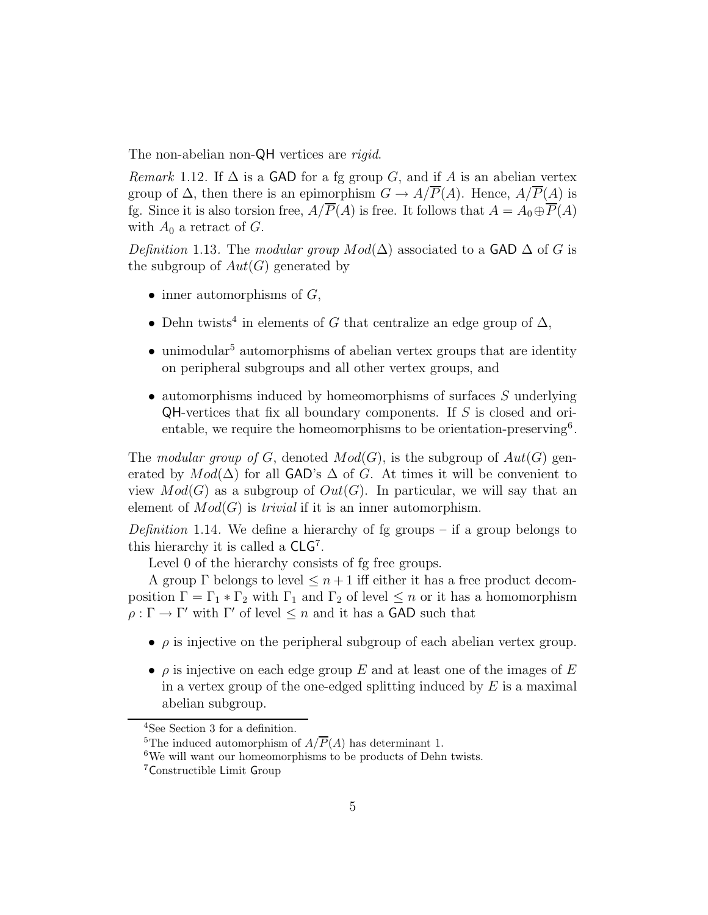The non-abelian non-QH vertices are *rigid*.

*Remark* 1.12. If  $\Delta$  is a GAD for a fg group G, and if A is an abelian vertex group of  $\Delta$ , then there is an epimorphism  $G \to A/\overline{P}(A)$ . Hence,  $A/\overline{P}(A)$  is fg. Since it is also torsion free,  $A/\overline{P}(A)$  is free. It follows that  $A = A_0 \oplus \overline{P}(A)$ with  $A_0$  a retract of G.

Definition 1.13. The modular group  $Mod(\Delta)$  associated to a GAD  $\Delta$  of G is the subgroup of  $Aut(G)$  generated by

- inner automorphisms of  $G$ ,
- Dehn twists<sup>4</sup> in elements of G that centralize an edge group of  $\Delta$ ,
- unimodular<sup>5</sup> automorphisms of abelian vertex groups that are identity on peripheral subgroups and all other vertex groups, and
- $\bullet$  automorphisms induced by homeomorphisms of surfaces S underlying QH-vertices that fix all boundary components. If S is closed and orientable, we require the homeomorphisms to be orientation-preserving<sup>6</sup>.

The modular group of G, denoted  $Mod(G)$ , is the subgroup of  $Aut(G)$  generated by  $Mod(\Delta)$  for all GAD's  $\Delta$  of G. At times it will be convenient to view  $Mod(G)$  as a subgroup of  $Out(G)$ . In particular, we will say that an element of  $Mod(G)$  is *trivial* if it is an inner automorphism.

*Definition* 1.14. We define a hierarchy of fg groups – if a group belongs to this hierarchy it is called a  $CLG<sup>7</sup>$ .

Level 0 of the hierarchy consists of fg free groups.

A group  $\Gamma$  belongs to level  $\leq n+1$  iff either it has a free product decomposition  $\Gamma = \Gamma_1 * \Gamma_2$  with  $\Gamma_1$  and  $\Gamma_2$  of level  $\leq n$  or it has a homomorphism  $\rho: \Gamma \to \Gamma'$  with  $\Gamma'$  of level  $\leq n$  and it has a **GAD** such that

- $\bullet$   $\rho$  is injective on the peripheral subgroup of each abelian vertex group.
- $\rho$  is injective on each edge group E and at least one of the images of E in a vertex group of the one-edged splitting induced by  $E$  is a maximal abelian subgroup.

<sup>4</sup>See Section 3 for a definition.

<sup>&</sup>lt;sup>5</sup>The induced automorphism of  $A/\overline{P}(A)$  has determinant 1.

 $6$ We will want our homeomorphisms to be products of Dehn twists.

<sup>7</sup>Constructible Limit Group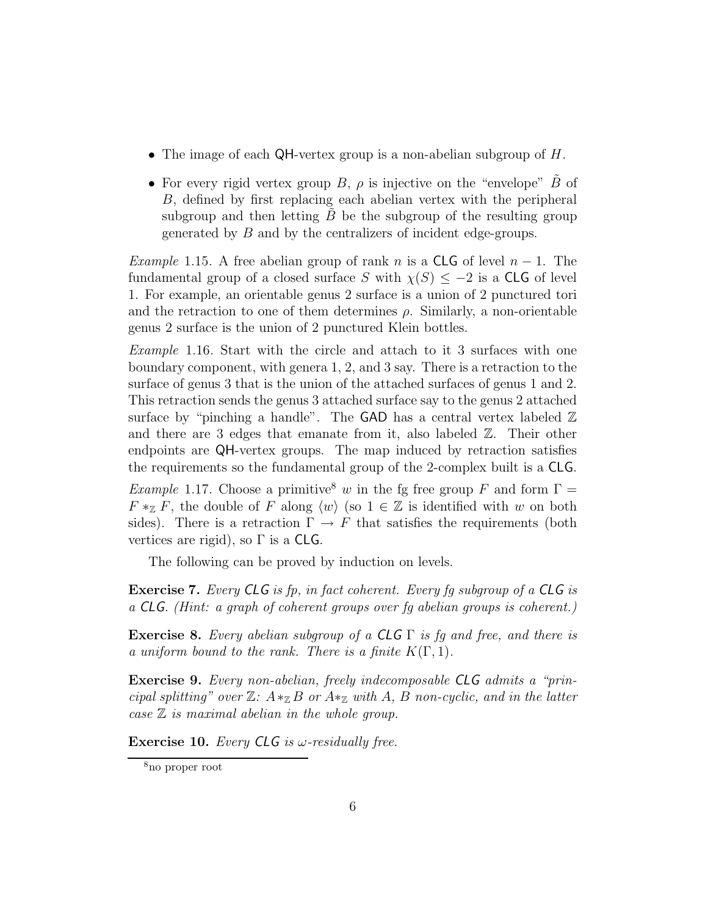- The image of each  $QH$ -vertex group is a non-abelian subgroup of  $H$ .
- For every rigid vertex group  $B$ ,  $\rho$  is injective on the "envelope" B of B, defined by first replacing each abelian vertex with the peripheral subgroup and then letting  $B$  be the subgroup of the resulting group generated by B and by the centralizers of incident edge-groups.

Example 1.15. A free abelian group of rank n is a CLG of level  $n-1$ . The fundamental group of a closed surface S with  $\chi(S) \leq -2$  is a CLG of level 1. For example, an orientable genus 2 surface is a union of 2 punctured tori and the retraction to one of them determines  $\rho$ . Similarly, a non-orientable genus 2 surface is the union of 2 punctured Klein bottles.

Example 1.16. Start with the circle and attach to it 3 surfaces with one boundary component, with genera 1, 2, and 3 say. There is a retraction to the surface of genus 3 that is the union of the attached surfaces of genus 1 and 2. This retraction sends the genus 3 attached surface say to the genus 2 attached surface by "pinching a handle". The GAD has a central vertex labeled  $\mathbb Z$ and there are 3 edges that emanate from it, also labeled Z. Their other endpoints are QH-vertex groups. The map induced by retraction satisfies the requirements so the fundamental group of the 2-complex built is a CLG.

*Example* 1.17. Choose a primitive<sup>8</sup> w in the fg free group F and form  $\Gamma =$  $F \ast_{\mathbb{Z}} F$ , the double of F along  $\langle w \rangle$  (so  $1 \in \mathbb{Z}$  is identified with w on both sides). There is a retraction  $\Gamma \to F$  that satisfies the requirements (both vertices are rigid), so  $\Gamma$  is a CLG.

The following can be proved by induction on levels.

Exercise 7. Every CLG is fp, in fact coherent. Every fg subgroup of a CLG is a CLG. (Hint: a graph of coherent groups over fg abelian groups is coherent.)

**Exercise 8.** Every abelian subgroup of a CLG  $\Gamma$  is fg and free, and there is a uniform bound to the rank. There is a finite  $K(\Gamma, 1)$ .

Exercise 9. Every non-abelian, freely indecomposable CLG admits a "principal splitting" over  $\mathbb{Z}$ :  $A *_{\mathbb{Z}} B$  or  $A *_{\mathbb{Z}}$  with A, B non-cyclic, and in the latter case  $\mathbb Z$  is maximal abelian in the whole group.

**Exercise 10.** Every CLG is  $\omega$ -residually free.

<sup>8</sup>no proper root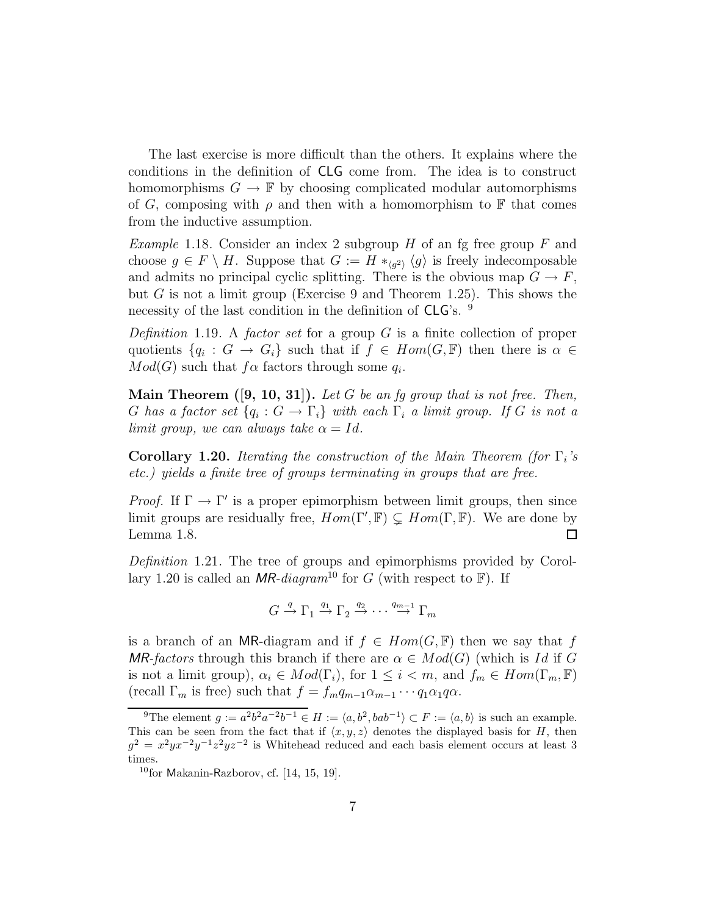The last exercise is more difficult than the others. It explains where the conditions in the definition of CLG come from. The idea is to construct homomorphisms  $G \to \mathbb{F}$  by choosing complicated modular automorphisms of G, composing with  $\rho$  and then with a homomorphism to F that comes from the inductive assumption.

*Example* 1.18. Consider an index 2 subgroup  $H$  of an fg free group  $F$  and choose  $g \in F \setminus H$ . Suppose that  $G := H *_{\langle g^2 \rangle} \langle g \rangle$  is freely indecomposable and admits no principal cyclic splitting. There is the obvious map  $G \to F$ , but G is not a limit group (Exercise 9 and Theorem 1.25). This shows the necessity of the last condition in the definition of CLG's. <sup>9</sup>

Definition 1.19. A factor set for a group  $G$  is a finite collection of proper quotients  $\{q_i: G \to G_i\}$  such that if  $f \in Hom(G, \mathbb{F})$  then there is  $\alpha \in$  $Mod(G)$  such that  $f\alpha$  factors through some  $q_i$ .

**Main Theorem ([9, 10, 31]).** Let G be an fg group that is not free. Then, G has a factor set  $\{q_i: G \to \Gamma_i\}$  with each  $\Gamma_i$  a limit group. If G is not a limit group, we can always take  $\alpha = Id$ .

**Corollary 1.20.** Iterating the construction of the Main Theorem (for  $\Gamma_i$ 's etc.) yields a finite tree of groups terminating in groups that are free.

*Proof.* If  $\Gamma \to \Gamma'$  is a proper epimorphism between limit groups, then since limit groups are residually free,  $Hom(\Gamma', \mathbb{F}) \subsetneq Hom(\Gamma, \mathbb{F})$ . We are done by Lemma 1.8.  $\Box$ 

Definition 1.21. The tree of groups and epimorphisms provided by Corollary 1.20 is called an MR-diagram<sup>10</sup> for G (with respect to  $\mathbb{F}$ ). If

$$
G \xrightarrow{q} \Gamma_1 \xrightarrow{q_1} \Gamma_2 \xrightarrow{q_2} \cdots \xrightarrow{q_{m-1}} \Gamma_m
$$

is a branch of an MR-diagram and if  $f \in Hom(G, \mathbb{F})$  then we say that f MR-factors through this branch if there are  $\alpha \in Mod(G)$  (which is Id if G is not a limit group),  $\alpha_i \in Mod(\Gamma_i)$ , for  $1 \leq i < m$ , and  $f_m \in Hom(\Gamma_m, \mathbb{F})$ (recall  $\Gamma_m$  is free) such that  $f = f_m q_{m-1} \cdots q_1 \alpha_1 q \alpha$ .

<sup>&</sup>lt;sup>9</sup>The element  $g := a^2b^2a^{-2}b^{-1} \in H := \langle a, b^2, bab^{-1} \rangle \subset F := \langle a, b \rangle$  is such an example. This can be seen from the fact that if  $\langle x, y, z \rangle$  denotes the displayed basis for H, then  $g^2 = x^2 y x^{-2} y^{-1} z^2 y z^{-2}$  is Whitehead reduced and each basis element occurs at least 3 times.

 $10$ for Makanin-Razborov, cf. [14, 15, 19].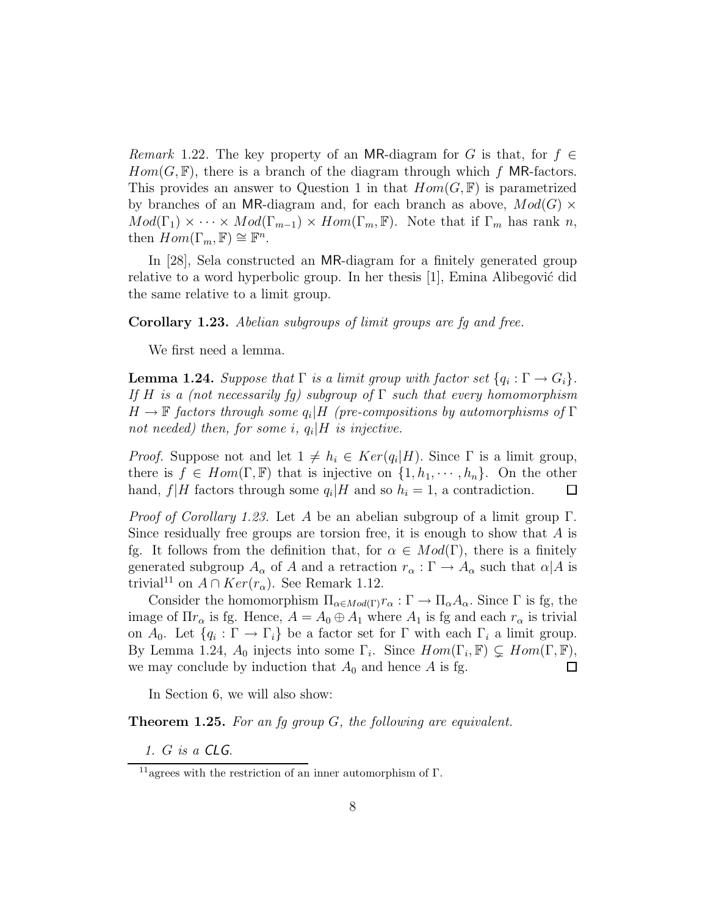*Remark* 1.22. The key property of an MR-diagram for G is that, for  $f \in$  $Hom(G, \mathbb{F})$ , there is a branch of the diagram through which f MR-factors. This provides an answer to Question 1 in that  $Hom(G, \mathbb{F})$  is parametrized by branches of an MR-diagram and, for each branch as above,  $Mod(G) \times$  $Mod(\Gamma_1) \times \cdots \times Mod(\Gamma_{m-1}) \times Hom(\Gamma_m, \mathbb{F})$ . Note that if  $\Gamma_m$  has rank n, then  $Hom(\Gamma_m, \mathbb{F}) \cong \mathbb{F}^n$ .

In [28], Sela constructed an MR-diagram for a finitely generated group relative to a word hyperbolic group. In her thesis  $|1|$ , Emina Alibegović did the same relative to a limit group.

Corollary 1.23. Abelian subgroups of limit groups are fg and free.

We first need a lemma.

**Lemma 1.24.** Suppose that  $\Gamma$  is a limit group with factor set  $\{q_i : \Gamma \to G_i\}$ . If H is a (not necessarily fg) subgroup of  $\Gamma$  such that every homomorphism  $H\to \mathbb{F}$  factors through some  $q_i|H$  (pre-compositions by automorphisms of  $\Gamma$ not needed) then, for some i,  $q_i|H$  is injective.

*Proof.* Suppose not and let  $1 \neq h_i \in Ker(q_i|H)$ . Since  $\Gamma$  is a limit group, there is  $f \in Hom(\Gamma, \mathbb{F})$  that is injective on  $\{1, h_1, \dots, h_n\}$ . On the other hand,  $f|H$  factors through some  $q_i|H$  and so  $h_i = 1$ , a contradiction.  $\Box$ 

*Proof of Corollary 1.23.* Let A be an abelian subgroup of a limit group  $\Gamma$ . Since residually free groups are torsion free, it is enough to show that  $A$  is fg. It follows from the definition that, for  $\alpha \in Mod(\Gamma)$ , there is a finitely generated subgroup  $A_{\alpha}$  of A and a retraction  $r_{\alpha} : \Gamma \to A_{\alpha}$  such that  $\alpha | A$  is trivial<sup>11</sup> on  $A \cap Ker(r_{\alpha})$ . See Remark 1.12.

Consider the homomorphism  $\Pi_{\alpha \in Mod(\Gamma)} r_{\alpha} : \Gamma \to \Pi_{\alpha} A_{\alpha}$ . Since  $\Gamma$  is fg, the image of  $\Pi r_{\alpha}$  is fg. Hence,  $A = A_0 \oplus A_1$  where  $A_1$  is fg and each  $r_{\alpha}$  is trivial on  $A_0$ . Let  $\{q_i : \Gamma \to \Gamma_i\}$  be a factor set for  $\Gamma$  with each  $\Gamma_i$  a limit group. By Lemma 1.24,  $A_0$  injects into some  $\Gamma_i$ . Since  $Hom(\Gamma_i, \mathbb{F}) \subsetneq Hom(\Gamma, \mathbb{F}),$ we may conclude by induction that  $A_0$  and hence A is fg.  $\Box$ 

In Section 6, we will also show:

**Theorem 1.25.** For an fq group  $G$ , the following are equivalent.

1. G is a CLG.

<sup>11</sup>agrees with the restriction of an inner automorphism of Γ.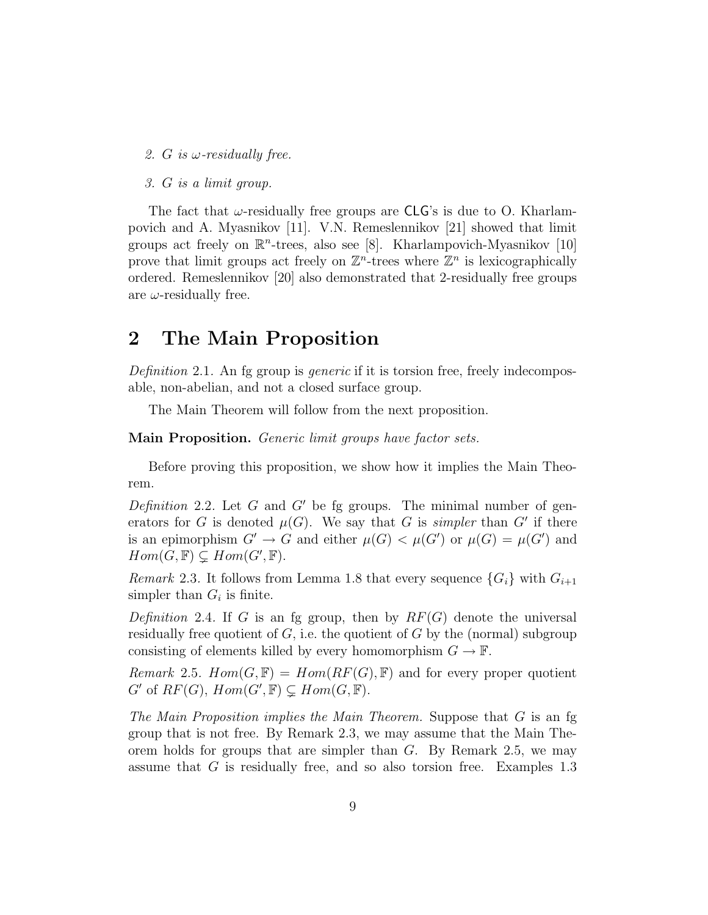- 2. G is  $\omega$ -residually free.
- 3. G is a limit group.

The fact that  $\omega$ -residually free groups are CLG's is due to O. Kharlampovich and A. Myasnikov [11]. V.N. Remeslennikov [21] showed that limit groups act freely on  $\mathbb{R}^n$ -trees, also see [8]. Kharlampovich-Myasnikov [10] prove that limit groups act freely on  $\mathbb{Z}^n$ -trees where  $\mathbb{Z}^n$  is lexicographically ordered. Remeslennikov [20] also demonstrated that 2-residually free groups are  $\omega$ -residually free.

### 2 The Main Proposition

Definition 2.1. An fg group is *generic* if it is torsion free, freely indecomposable, non-abelian, and not a closed surface group.

The Main Theorem will follow from the next proposition.

Main Proposition. Generic limit groups have factor sets.

Before proving this proposition, we show how it implies the Main Theorem.

Definition 2.2. Let G and G' be fg groups. The minimal number of generators for G is denoted  $\mu(G)$ . We say that G is *simpler* than G' if there is an epimorphism  $G' \to G$  and either  $\mu(G) < \mu(G')$  or  $\mu(G) = \mu(G')$  and  $Hom(G, \mathbb{F}) \subsetneq Hom(G', \mathbb{F}).$ 

Remark 2.3. It follows from Lemma 1.8 that every sequence  $\{G_i\}$  with  $G_{i+1}$ simpler than  $G_i$  is finite.

Definition 2.4. If G is an fg group, then by  $RF(G)$  denote the universal residually free quotient of  $G$ , i.e. the quotient of  $G$  by the (normal) subgroup consisting of elements killed by every homomorphism  $G \to \mathbb{F}$ .

Remark 2.5.  $Hom(G, \mathbb{F}) = Hom(RF(G), \mathbb{F})$  and for every proper quotient  $G'$  of  $RF(G), Hom(G', \mathbb{F}) \subsetneq Hom(G, \mathbb{F}).$ 

The Main Proposition implies the Main Theorem. Suppose that  $G$  is an fg group that is not free. By Remark 2.3, we may assume that the Main Theorem holds for groups that are simpler than  $G$ . By Remark 2.5, we may assume that G is residually free, and so also torsion free. Examples 1.3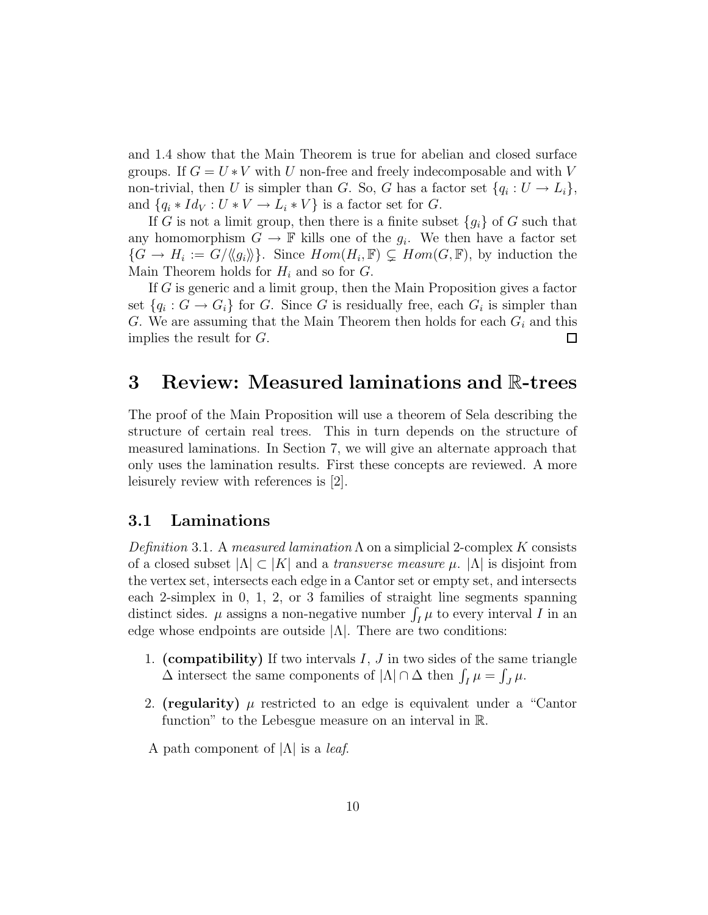and 1.4 show that the Main Theorem is true for abelian and closed surface groups. If  $G = U * V$  with U non-free and freely indecomposable and with V non-trivial, then U is simpler than G. So, G has a factor set  $\{q_i: U \to L_i\},\$ and  $\{q_i * Id_V : U * V \to L_i * V\}$  is a factor set for G.

If G is not a limit group, then there is a finite subset  ${g_i}$  of G such that any homomorphism  $G \to \mathbb{F}$  kills one of the  $g_i$ . We then have a factor set  $\{G \to H_i := G/\langle\langle g_i \rangle\rangle\}$ . Since  $Hom(H_i, \mathbb{F}) \subsetneq Hom(G, \mathbb{F})$ , by induction the Main Theorem holds for  $H_i$  and so for  $G$ .

If G is generic and a limit group, then the Main Proposition gives a factor set  $\{q_i: G \to G_i\}$  for G. Since G is residually free, each  $G_i$  is simpler than G. We are assuming that the Main Theorem then holds for each  $G_i$  and this implies the result for G.  $\Box$ 

### 3 Review: Measured laminations and R-trees

The proof of the Main Proposition will use a theorem of Sela describing the structure of certain real trees. This in turn depends on the structure of measured laminations. In Section 7, we will give an alternate approach that only uses the lamination results. First these concepts are reviewed. A more leisurely review with references is [2].

### 3.1 Laminations

Definition 3.1. A measured lamination  $\Lambda$  on a simplicial 2-complex K consists of a closed subset  $|\Lambda| \subset |K|$  and a *transverse measure*  $\mu$ *.*  $|\Lambda|$  is disjoint from the vertex set, intersects each edge in a Cantor set or empty set, and intersects each 2-simplex in 0, 1, 2, or 3 families of straight line segments spanning distinct sides.  $\mu$  assigns a non-negative number  $\int_I \mu$  to every interval I in an edge whose endpoints are outside  $|\Lambda|$ . There are two conditions:

- 1. (compatibility) If two intervals  $I, J$  in two sides of the same triangle  $\Delta$  intersect the same components of  $|\Lambda| \cap \Delta$  then  $\int_I \mu = \int_J \mu$ .
- 2. (regularity)  $\mu$  restricted to an edge is equivalent under a "Cantor" function" to the Lebesgue measure on an interval in R.

A path component of  $|\Lambda|$  is a *leaf.*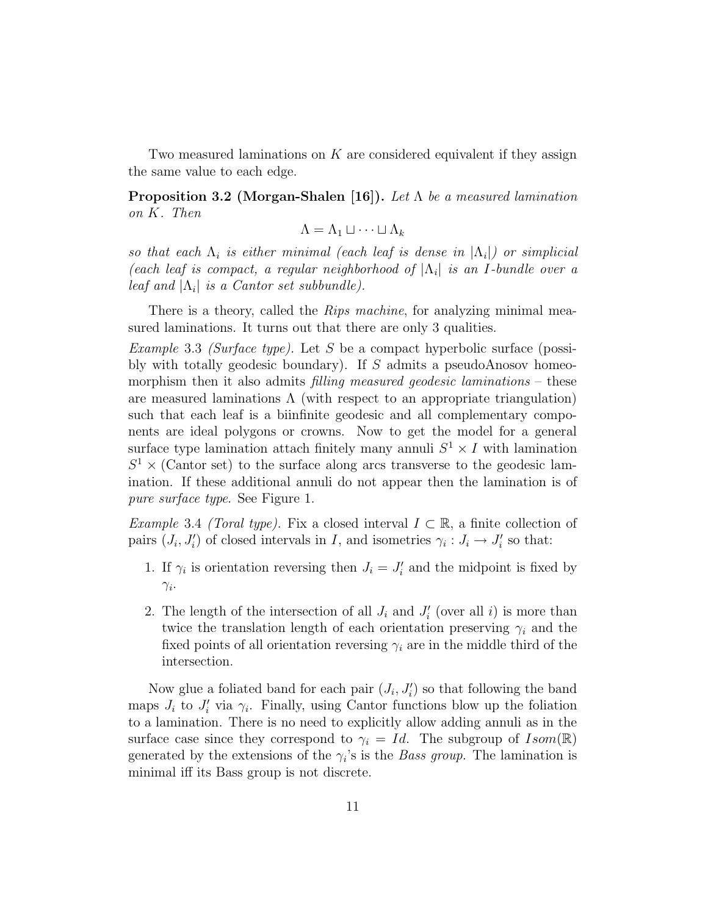Two measured laminations on  $K$  are considered equivalent if they assign the same value to each edge.

**Proposition 3.2 (Morgan-Shalen [16]).** Let  $\Lambda$  be a measured lamination on K. Then

$$
\Lambda=\Lambda_1\sqcup\cdots\sqcup\Lambda_k
$$

so that each  $\Lambda_i$  is either minimal (each leaf is dense in  $|\Lambda_i|$ ) or simplicial (each leaf is compact, a regular neighborhood of  $|\Lambda_i|$  is an I-bundle over a leaf and  $|\Lambda_i|$  is a Cantor set subbundle).

There is a theory, called the *Rips machine*, for analyzing minimal measured laminations. It turns out that there are only 3 qualities.

Example 3.3 (Surface type). Let S be a compact hyperbolic surface (possibly with totally geodesic boundary). If  $S$  admits a pseudoAnosov homeomorphism then it also admits *filling measured geodesic laminations* – these are measured laminations  $\Lambda$  (with respect to an appropriate triangulation) such that each leaf is a biinfinite geodesic and all complementary components are ideal polygons or crowns. Now to get the model for a general surface type lamination attach finitely many annuli  $S^1 \times I$  with lamination  $S<sup>1</sup>$  × (Cantor set) to the surface along arcs transverse to the geodesic lamination. If these additional annuli do not appear then the lamination is of pure surface type. See Figure 1.

Example 3.4 (Toral type). Fix a closed interval  $I \subset \mathbb{R}$ , a finite collection of pairs  $(J_i, J'_i)$  of closed intervals in I, and isometries  $\gamma_i : J_i \to J'_i$  so that:

- 1. If  $\gamma_i$  is orientation reversing then  $J_i = J'_i$  and the midpoint is fixed by  $\gamma_i$ .
- 2. The length of the intersection of all  $J_i$  and  $J'_i$  (over all i) is more than twice the translation length of each orientation preserving  $\gamma_i$  and the fixed points of all orientation reversing  $\gamma_i$  are in the middle third of the intersection.

Now glue a foliated band for each pair  $(J_i, J'_i)$  so that following the band maps  $J_i$  to  $J'_i$  via  $\gamma_i$ . Finally, using Cantor functions blow up the foliation to a lamination. There is no need to explicitly allow adding annuli as in the surface case since they correspond to  $\gamma_i = Id$ . The subgroup of  $Isom(\mathbb{R})$ generated by the extensions of the  $\gamma_i$ 's is the *Bass group*. The lamination is minimal iff its Bass group is not discrete.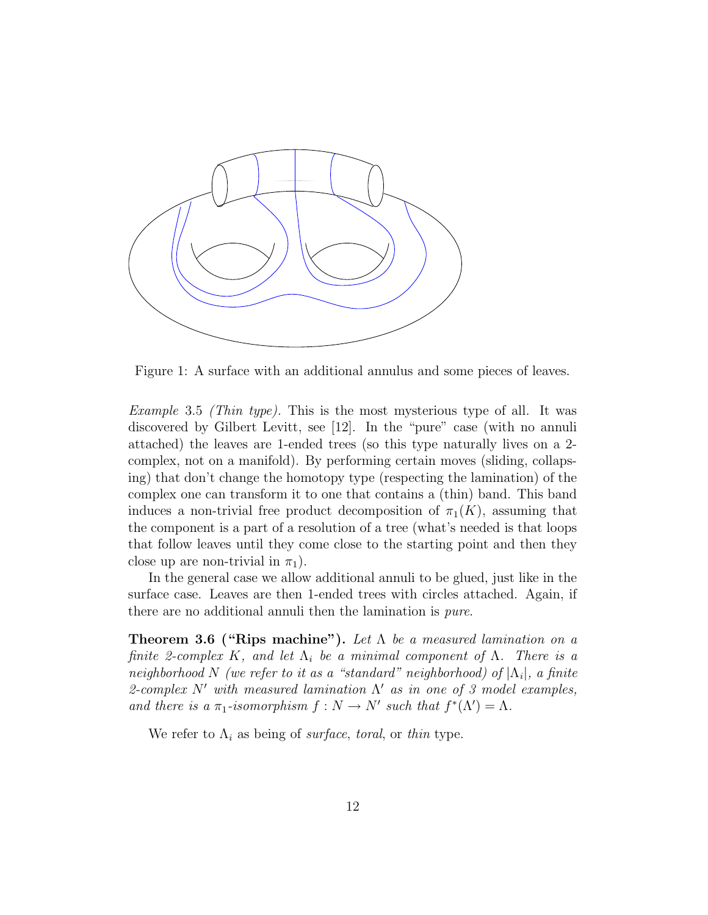

Figure 1: A surface with an additional annulus and some pieces of leaves.

*Example* 3.5 *(Thin type)*. This is the most mysterious type of all. It was discovered by Gilbert Levitt, see [12]. In the "pure" case (with no annuli attached) the leaves are 1-ended trees (so this type naturally lives on a 2 complex, not on a manifold). By performing certain moves (sliding, collapsing) that don't change the homotopy type (respecting the lamination) of the complex one can transform it to one that contains a (thin) band. This band induces a non-trivial free product decomposition of  $\pi_1(K)$ , assuming that the component is a part of a resolution of a tree (what's needed is that loops that follow leaves until they come close to the starting point and then they close up are non-trivial in  $\pi_1$ ).

In the general case we allow additional annuli to be glued, just like in the surface case. Leaves are then 1-ended trees with circles attached. Again, if there are no additional annuli then the lamination is pure.

**Theorem 3.6 ("Rips machine").** Let  $\Lambda$  be a measured lamination on a finite 2-complex K, and let  $\Lambda_i$  be a minimal component of  $\Lambda$ . There is a neighborhood N (we refer to it as a "standard" neighborhood) of  $|\Lambda_i|$ , a finite 2-complex  $N'$  with measured lamination  $\Lambda'$  as in one of 3 model examples, and there is a  $\pi_1$ -isomorphism  $f: N \to N'$  such that  $f^*(\Lambda') = \Lambda$ .

We refer to  $\Lambda_i$  as being of *surface*, *toral*, or *thin* type.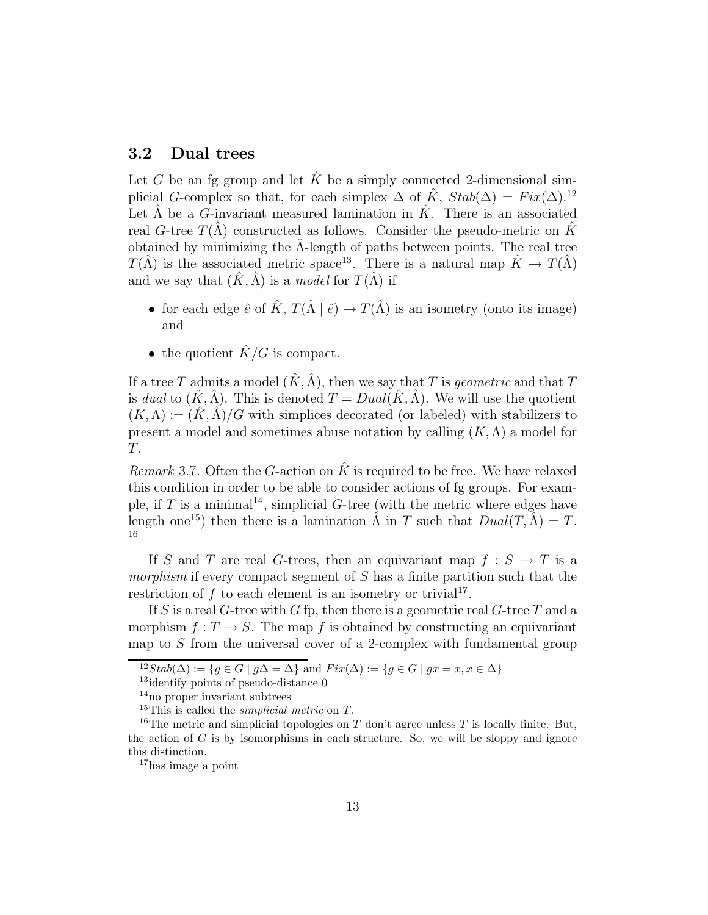### 3.2 Dual trees

Let G be an fg group and let  $\hat{K}$  be a simply connected 2-dimensional simplicial G-complex so that, for each simplex  $\Delta$  of  $\tilde{K}$ ,  $Stab(\Delta) = Fix(\Delta)^{12}$ . Let  $\hat{\Lambda}$  be a G-invariant measured lamination in  $\hat{K}$ . There is an associated real G-tree  $T(\Lambda)$  constructed as follows. Consider the pseudo-metric on K obtained by minimizing the  $\Lambda$ -length of paths between points. The real tree  $T(\hat{\Lambda})$  is the associated metric space<sup>13</sup>. There is a natural map  $\hat{K} \to T(\hat{\Lambda})$ and we say that  $(\hat{K}, \hat{\Lambda})$  is a model for  $T(\hat{\Lambda})$  if

- for each edge  $\hat{e}$  of  $\hat{K}$ ,  $T(\hat{\Lambda} | \hat{e}) \rightarrow T(\hat{\Lambda})$  is an isometry (onto its image) and
- the quotient  $\hat{K}/G$  is compact.

If a tree T admits a model  $(\hat{K}, \hat{\Lambda})$ , then we say that T is geometric and that T is dual to  $(K, \Lambda)$ . This is denoted  $T = Dual(K, \Lambda)$ . We will use the quotient  $(K, \Lambda) := (K, \Lambda)/G$  with simplices decorated (or labeled) with stabilizers to present a model and sometimes abuse notation by calling  $(K, \Lambda)$  a model for T.

Remark 3.7. Often the G-action on  $\hat{K}$  is required to be free. We have relaxed this condition in order to be able to consider actions of fg groups. For example, if T is a minimal<sup>14</sup>, simplicial  $G$ -tree (with the metric where edges have length one<sup>15</sup>) then there is a lamination  $\hat{\Lambda}$  in T such that  $Dual(T, \hat{\Lambda}) = T$ . 16

If S and T are real G-trees, then an equivariant map  $f : S \to T$  is a morphism if every compact segment of  $S$  has a finite partition such that the restriction of  $f$  to each element is an isometry or trivial<sup>17</sup>.

If S is a real G-tree with G fp, then there is a geometric real G-tree T and a morphism  $f: T \to S$ . The map f is obtained by constructing an equivariant map to S from the universal cover of a 2-complex with fundamental group

<sup>&</sup>lt;sup>12</sup>Stab( $\Delta$ ) := {g ∈ G | g $\Delta = \Delta$ } and  $Fix(\Delta)$  := {g ∈ G | g $x = x, x \in \Delta$ }

<sup>&</sup>lt;sup>13</sup>identify points of pseudo-distance 0

<sup>&</sup>lt;sup>14</sup> no proper invariant subtrees

<sup>&</sup>lt;sup>15</sup>This is called the *simplicial metric* on  $T$ .

<sup>&</sup>lt;sup>16</sup>The metric and simplicial topologies on T don't agree unless T is locally finite. But, the action of  $G$  is by isomorphisms in each structure. So, we will be sloppy and ignore this distinction.

<sup>17</sup>has image a point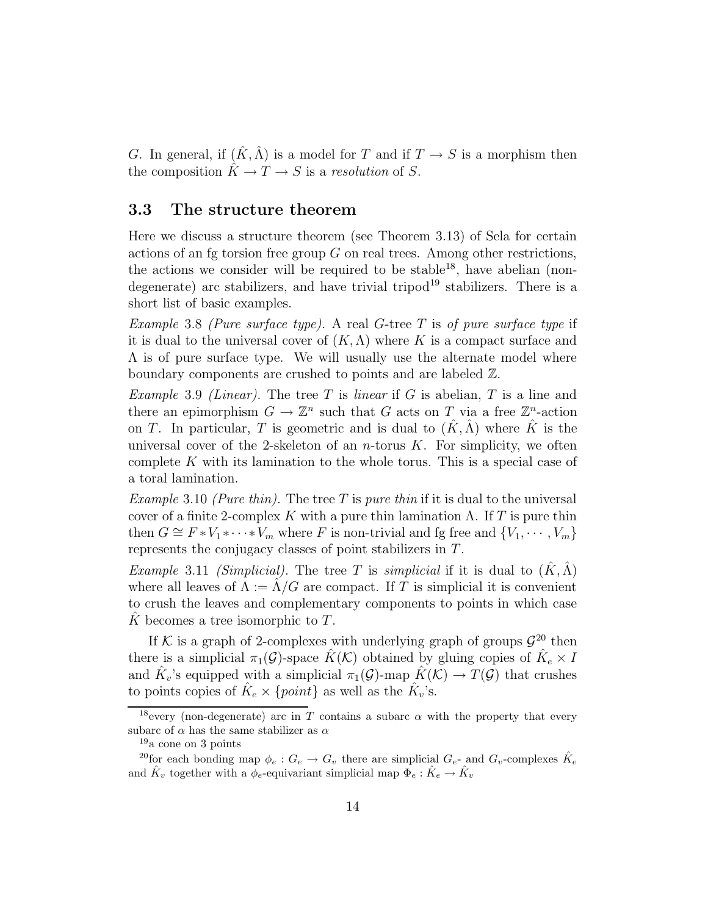G. In general, if  $(\hat{K}, \hat{\Lambda})$  is a model for T and if  $T \to S$  is a morphism then the composition  $\hat{K} \to T \to S$  is a resolution of S.

### 3.3 The structure theorem

Here we discuss a structure theorem (see Theorem 3.13) of Sela for certain actions of an fg torsion free group  $G$  on real trees. Among other restrictions, the actions we consider will be required to be stable<sup>18</sup>, have abelian (nondegenerate) arc stabilizers, and have trivial tripod<sup>19</sup> stabilizers. There is a short list of basic examples.

Example 3.8 (Pure surface type). A real G-tree T is of pure surface type if it is dual to the universal cover of  $(K, \Lambda)$  where K is a compact surface and  $\Lambda$  is of pure surface type. We will usually use the alternate model where boundary components are crushed to points and are labeled Z.

Example 3.9 (Linear). The tree T is linear if G is abelian, T is a line and there an epimorphism  $G \to \mathbb{Z}^n$  such that G acts on T via a free  $\mathbb{Z}^n$ -action on T. In particular, T is geometric and is dual to  $(\hat{K}, \hat{\Lambda})$  where  $\hat{K}$  is the universal cover of the 2-skeleton of an *n*-torus  $K$ . For simplicity, we often complete K with its lamination to the whole torus. This is a special case of a toral lamination.

Example 3.10 (Pure thin). The tree T is pure thin if it is dual to the universal cover of a finite 2-complex K with a pure thin lamination  $\Lambda$ . If T is pure thin then  $G \cong F * V_1 * \cdots * V_m$  where F is non-trivial and fg free and  $\{V_1, \cdots, V_m\}$ represents the conjugacy classes of point stabilizers in T.

*Example* 3.11 *(Simplicial)*. The tree T is *simplicial* if it is dual to  $(\hat{K}, \hat{\Lambda})$ where all leaves of  $\Lambda := \Lambda/G$  are compact. If T is simplicial it is convenient to crush the leaves and complementary components to points in which case K becomes a tree isomorphic to  $T$ .

If K is a graph of 2-complexes with underlying graph of groups  $\mathcal{G}^{20}$  then there is a simplicial  $\pi_1(\mathcal{G})$ -space  $\hat{K}(\mathcal{K})$  obtained by gluing copies of  $\hat{K}_e \times I$ and  $\hat{K}_v$ 's equipped with a simplicial  $\pi_1(\mathcal{G})$ -map  $\hat{K}(\mathcal{K}) \to T(\mathcal{G})$  that crushes to points copies of  $\hat{K}_e \times \{point\}$  as well as the  $\hat{K}_v$ 's.

<sup>&</sup>lt;sup>18</sup>every (non-degenerate) arc in T contains a subarc  $\alpha$  with the property that every subarc of  $\alpha$  has the same stabilizer as  $\alpha$ 

 $19a$  cone on 3 points

<sup>&</sup>lt;sup>20</sup>for each bonding map  $\phi_e: G_e \to G_v$  there are simplicial  $G_{e}$ - and  $G_v$ -complexes  $\hat{K}_e$ and  $\hat{K}_v$  together with a  $\phi_e$ -equivariant simplicial map  $\Phi_e : \hat{K}_e \to \hat{K}_v$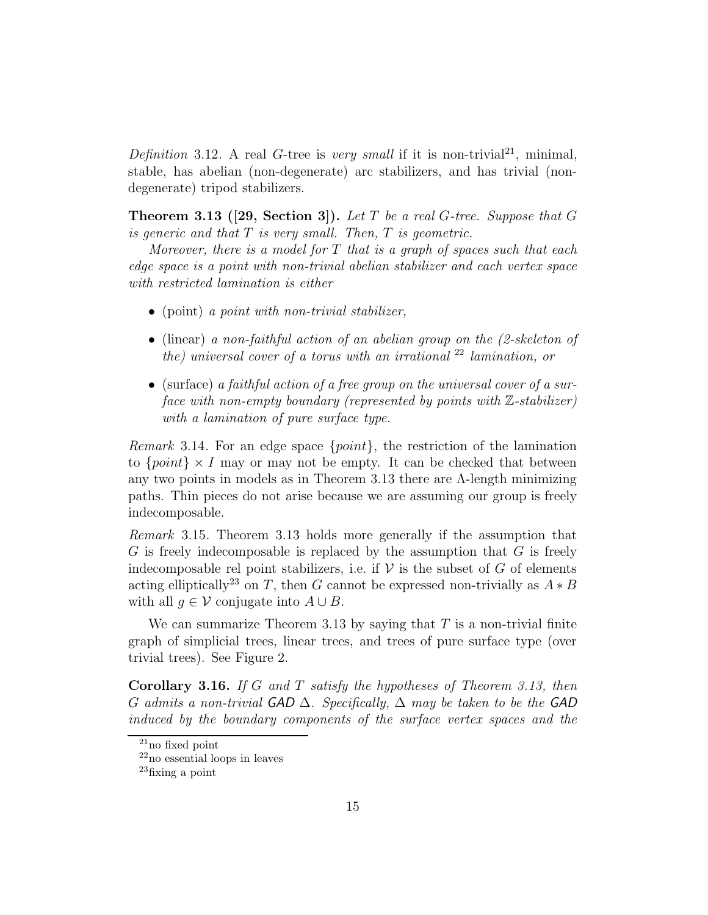Definition 3.12. A real G-tree is very small if it is non-trivial<sup>21</sup>, minimal, stable, has abelian (non-degenerate) arc stabilizers, and has trivial (nondegenerate) tripod stabilizers.

**Theorem 3.13** ([29, Section 3]). Let T be a real G-tree. Suppose that G is generic and that  $T$  is very small. Then,  $T$  is geometric.

Moreover, there is a model for  $T$  that is a graph of spaces such that each edge space is a point with non-trivial abelian stabilizer and each vertex space with restricted lamination is either

- (point) a *point with non-trivial stabilizer*,
- (linear) a non-faithful action of an abelian group on the (2-skeleton of the) universal cover of a torus with an irrational  $22$  lamination, or
- (surface) a faithful action of a free group on the universal cover of a surface with non-empty boundary (represented by points with  $\mathbb{Z}\text{-stabilizer}$ ) with a lamination of pure surface type.

Remark 3.14. For an edge space {point}, the restriction of the lamination to  $\{point\} \times I$  may or may not be empty. It can be checked that between any two points in models as in Theorem 3.13 there are Λ-length minimizing paths. Thin pieces do not arise because we are assuming our group is freely indecomposable.

Remark 3.15. Theorem 3.13 holds more generally if the assumption that  $G$  is freely indecomposable is replaced by the assumption that  $G$  is freely indecomposable rel point stabilizers, i.e. if  $\mathcal V$  is the subset of G of elements acting elliptically<sup>23</sup> on T, then G cannot be expressed non-trivially as  $A * B$ with all  $g \in V$  conjugate into  $A \cup B$ .

We can summarize Theorem 3.13 by saying that  $T$  is a non-trivial finite graph of simplicial trees, linear trees, and trees of pure surface type (over trivial trees). See Figure 2.

Corollary 3.16. If G and T satisfy the hypotheses of Theorem 3.13, then G admits a non-trivial GAD  $\Delta$ . Specifically,  $\Delta$  may be taken to be the GAD induced by the boundary components of the surface vertex spaces and the

 $21$ no fixed point

<sup>22</sup>no essential loops in leaves

<sup>23</sup>fixing a point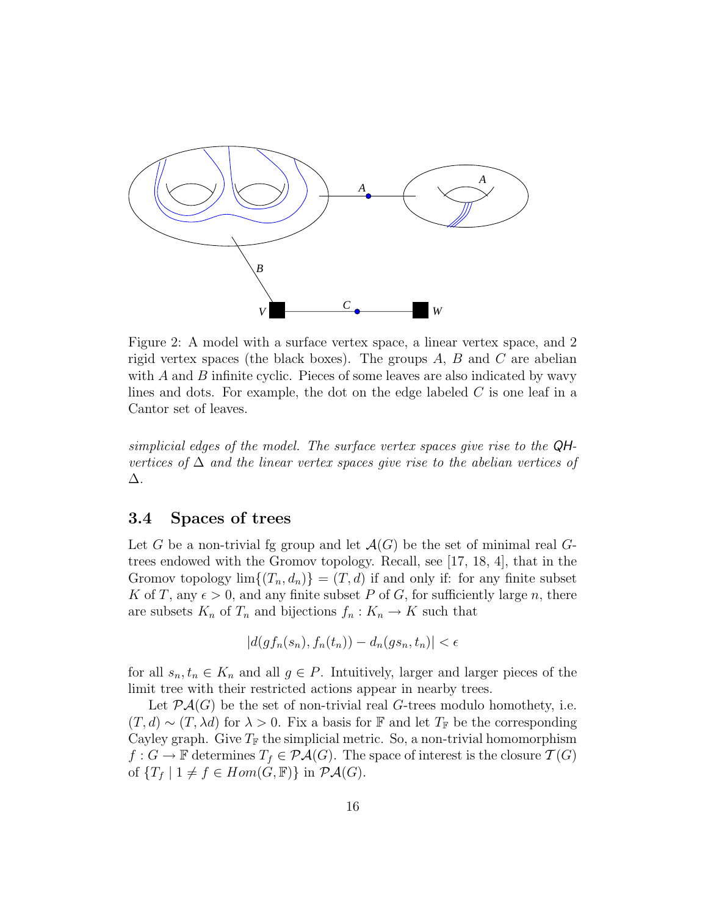

Figure 2: A model with a surface vertex space, a linear vertex space, and 2 rigid vertex spaces (the black boxes). The groups  $A, B$  and  $C$  are abelian with  $A$  and  $B$  infinite cyclic. Pieces of some leaves are also indicated by wavy lines and dots. For example, the dot on the edge labeled  $C$  is one leaf in a Cantor set of leaves.

simplicial edges of the model. The surface vertex spaces give rise to the QHvertices of  $\Delta$  and the linear vertex spaces give rise to the abelian vertices of ∆.

#### 3.4 Spaces of trees

Let G be a non-trivial fg group and let  $\mathcal{A}(G)$  be the set of minimal real Gtrees endowed with the Gromov topology. Recall, see [17, 18, 4], that in the Gromov topology  $\lim\{(T_n, d_n)\} = (T, d)$  if and only if: for any finite subset K of T, any  $\epsilon > 0$ , and any finite subset P of G, for sufficiently large n, there are subsets  $K_n$  of  $T_n$  and bijections  $f_n: K_n \to K$  such that

$$
|d(gf_n(s_n), f_n(t_n)) - d_n(gs_n, t_n)| < \epsilon
$$

for all  $s_n, t_n \in K_n$  and all  $g \in P$ . Intuitively, larger and larger pieces of the limit tree with their restricted actions appear in nearby trees.

Let  $\mathcal{P}A(G)$  be the set of non-trivial real G-trees modulo homothety, i.e.  $(T, d) \sim (T, \lambda d)$  for  $\lambda > 0$ . Fix a basis for F and let  $T_F$  be the corresponding Cayley graph. Give  $T_F$  the simplicial metric. So, a non-trivial homomorphism  $f: G \to \mathbb{F}$  determines  $T_f \in \mathcal{P}A(G)$ . The space of interest is the closure  $\mathcal{T}(G)$ of  ${T_f | 1 \neq f \in Hom(G, \mathbb{F})}$  in  $\mathcal{P}A(G)$ .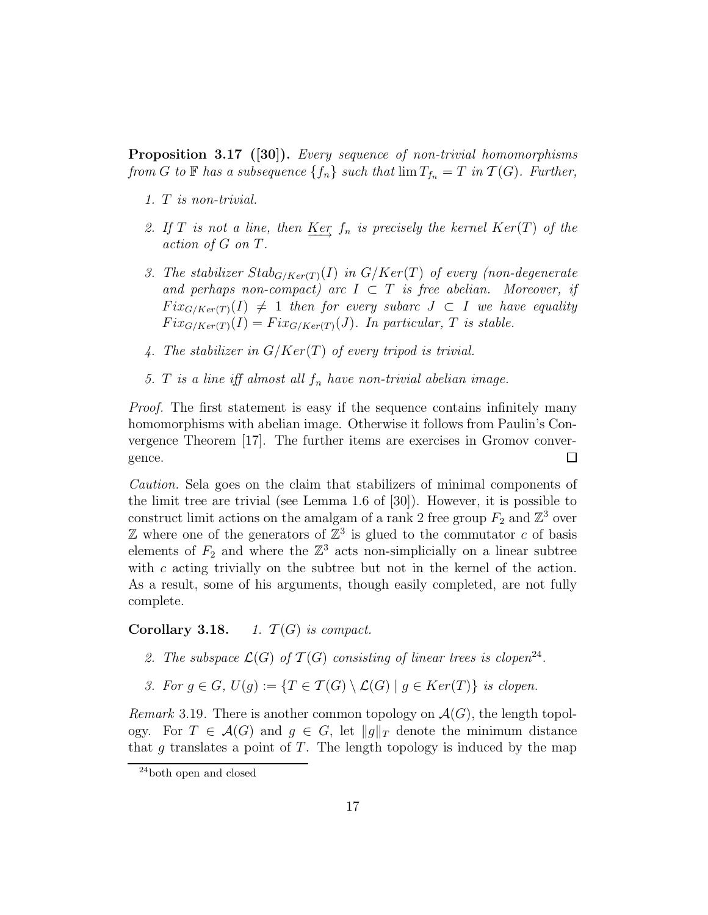**Proposition 3.17** ([30]). Every sequence of non-trivial homomorphisms from G to F has a subsequence  $\{f_n\}$  such that  $\lim T_{f_n} = T$  in  $\mathcal{T}(G)$ . Further,

- 1. T is non-trivial.
- 2. If T is not a line, then Ker  $f_n$  is precisely the kernel Ker(T) of the action of G on T.
- 3. The stabilizer  $Stab_{G/Ker(T)}(I)$  in  $G/Ker(T)$  of every (non-degenerate and perhaps non-compact) arc  $I \subset T$  is free abelian. Moreover, if  $Fix_{G/Ker(T)}(I) \neq 1$  then for every subarc  $J \subset I$  we have equality  $Fix_{G/Ker(T)}(I) = Fix_{G/Ker(T)}(J)$ . In particular, T is stable.
- 4. The stabilizer in  $G/Ker(T)$  of every tripod is trivial.
- 5. T is a line iff almost all  $f_n$  have non-trivial abelian image.

Proof. The first statement is easy if the sequence contains infinitely many homomorphisms with abelian image. Otherwise it follows from Paulin's Convergence Theorem [17]. The further items are exercises in Gromov convergence.  $\Box$ 

Caution. Sela goes on the claim that stabilizers of minimal components of the limit tree are trivial (see Lemma 1.6 of [30]). However, it is possible to construct limit actions on the amalgam of a rank 2 free group  $F_2$  and  $\mathbb{Z}^3$  over  $\mathbb Z$  where one of the generators of  $\mathbb Z^3$  is glued to the commutator c of basis elements of  $F_2$  and where the  $\mathbb{Z}^3$  acts non-simplicially on a linear subtree with c acting trivially on the subtree but not in the kernel of the action. As a result, some of his arguments, though easily completed, are not fully complete.

#### Corollary 3.18. 1.  $\mathcal{T}(G)$  is compact.

- 2. The subspace  $\mathcal{L}(G)$  of  $\mathcal{T}(G)$  consisting of linear trees is clopen<sup>24</sup>.
- 3. For  $g \in G$ ,  $U(g) := \{T \in \mathcal{T}(G) \setminus \mathcal{L}(G) \mid g \in Ker(T)\}$  is clopen.

*Remark* 3.19. There is another common topology on  $\mathcal{A}(G)$ , the length topology. For  $T \in \mathcal{A}(G)$  and  $g \in G$ , let  $||g||_T$  denote the minimum distance that g translates a point of  $T$ . The length topology is induced by the map

<sup>24</sup>both open and closed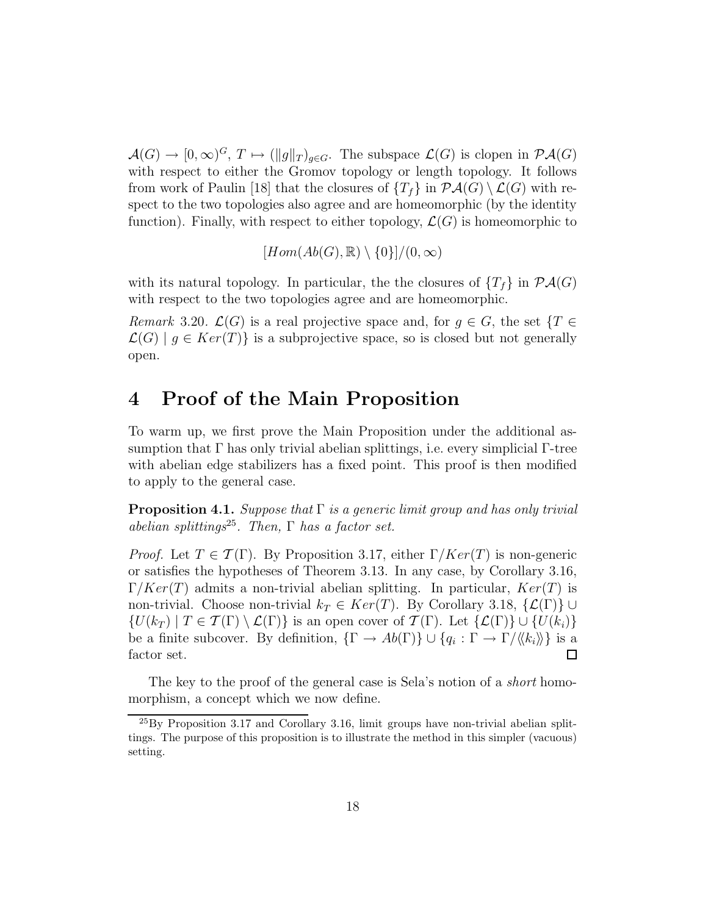$\mathcal{A}(G) \to [0,\infty)^G$ ,  $T \mapsto (\|g\|_T)_{g \in G}$ . The subspace  $\mathcal{L}(G)$  is clopen in  $\mathcal{P}\mathcal{A}(G)$ with respect to either the Gromov topology or length topology. It follows from work of Paulin [18] that the closures of  $\{T_f\}$  in  $\mathcal{P}(\mathcal{A}(G) \setminus \mathcal{L}(G))$  with respect to the two topologies also agree and are homeomorphic (by the identity function). Finally, with respect to either topology,  $\mathcal{L}(G)$  is homeomorphic to

$$
[Hom(Ab(G),\mathbb{R})\setminus\{0\}]/(0,\infty)
$$

with its natural topology. In particular, the the closures of  $\{T_f\}$  in  $\mathcal{P}A(G)$ with respect to the two topologies agree and are homeomorphic.

Remark 3.20.  $\mathcal{L}(G)$  is a real projective space and, for  $q \in G$ , the set  $\{T \in$  $\mathcal{L}(G) \mid g \in Ker(T)$  is a subprojective space, so is closed but not generally open.

### 4 Proof of the Main Proposition

To warm up, we first prove the Main Proposition under the additional assumption that Γ has only trivial abelian splittings, i.e. every simplicial Γ-tree with abelian edge stabilizers has a fixed point. This proof is then modified to apply to the general case.

**Proposition 4.1.** Suppose that  $\Gamma$  is a generic limit group and has only trivial abelian splittings<sup>25</sup>. Then,  $\Gamma$  has a factor set.

*Proof.* Let  $T \in \mathcal{T}(\Gamma)$ . By Proposition 3.17, either  $\Gamma/Ker(T)$  is non-generic or satisfies the hypotheses of Theorem 3.13. In any case, by Corollary 3.16,  $\Gamma/Ker(T)$  admits a non-trivial abelian splitting. In particular,  $Ker(T)$  is non-trivial. Choose non-trivial  $k_T \in Ker(T)$ . By Corollary 3.18,  $\{\mathcal{L}(\Gamma)\}\cup$  $\{U(k_T) \mid T \in \mathcal{T}(\Gamma) \setminus \mathcal{L}(\Gamma)\}\$ is an open cover of  $\mathcal{T}(\Gamma)$ . Let  $\{\mathcal{L}(\Gamma)\}\cup\{U(k_i)\}\$ be a finite subcover. By definition,  $\{\Gamma \to Ab(\Gamma)\} \cup \{q_i : \Gamma \to \Gamma/\langle\!\langle k_i \rangle\!\rangle\}$  is a  $\Box$ factor set.

The key to the proof of the general case is Sela's notion of a *short* homomorphism, a concept which we now define.

 $^{25}$ By Proposition 3.17 and Corollary 3.16, limit groups have non-trivial abelian splittings. The purpose of this proposition is to illustrate the method in this simpler (vacuous) setting.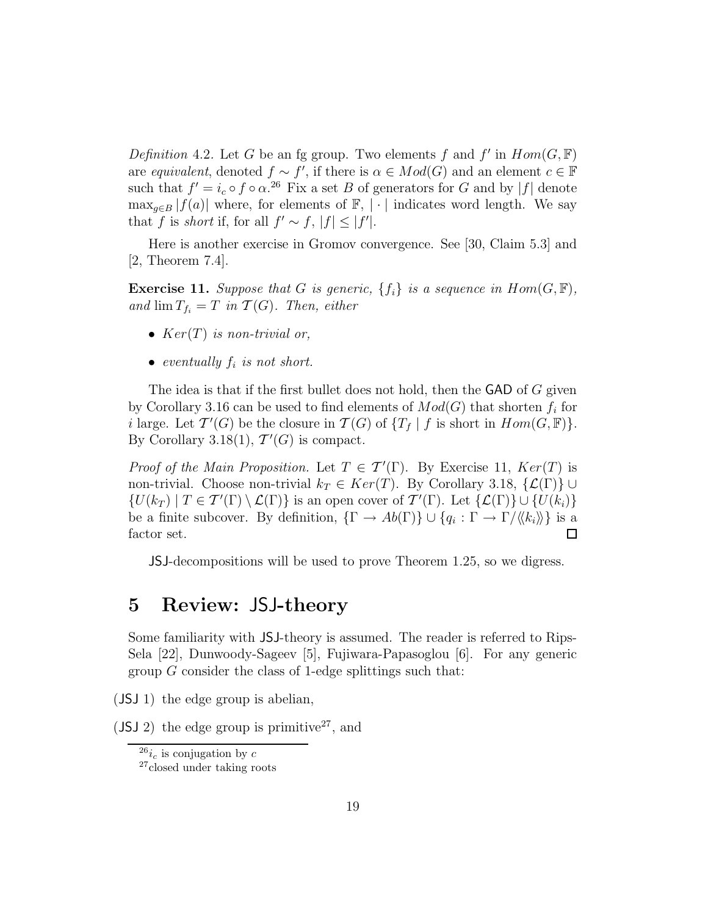Definition 4.2. Let G be an fg group. Two elements f and f' in  $Hom(G, \mathbb{F})$ are equivalent, denoted  $f \sim f'$ , if there is  $\alpha \in Mod(G)$  and an element  $c \in \mathbb{F}$ such that  $f' = i_c \circ f \circ \alpha$ .<sup>26</sup> Fix a set B of generators for G and by |f| denote  $\max_{q\in B} |f(a)|$  where, for elements of  $\mathbb{F}, |\cdot|$  indicates word length. We say that f is short if, for all  $f' \sim f$ ,  $|f| \leq |f'|$ .

Here is another exercise in Gromov convergence. See [30, Claim 5.3] and [2, Theorem 7.4].

**Exercise 11.** Suppose that G is generic,  $\{f_i\}$  is a sequence in  $Hom(G, \mathbb{F})$ , and  $\lim T_{f_i} = T$  in  $\mathcal{T}(G)$ . Then, either

- $Ker(T)$  is non-trivial or,
- eventually  $f_i$  is not short.

The idea is that if the first bullet does not hold, then the  $\mathsf{GAD}$  of G given by Corollary 3.16 can be used to find elements of  $Mod(G)$  that shorten  $f_i$  for i large. Let  $\mathcal{T}'(G)$  be the closure in  $\mathcal{T}(G)$  of  $\{T_f | f$  is short in  $Hom(G, \mathbb{F})\}$ . By Corollary 3.18(1),  $\mathcal{T}'(G)$  is compact.

*Proof of the Main Proposition.* Let  $T \in \mathcal{T}'(\Gamma)$ . By Exercise 11,  $Ker(T)$  is non-trivial. Choose non-trivial  $k_T \in Ker(T)$ . By Corollary 3.18,  $\{\mathcal{L}(\Gamma)\}\cup$  $\{U(k_T) \mid T \in \mathcal{T}'(\Gamma) \setminus \mathcal{L}(\Gamma)\}\$ is an open cover of  $\mathcal{T}'(\Gamma)$ . Let  $\{\mathcal{L}(\Gamma)\}\cup \{U(k_i)\}\$ be a finite subcover. By definition,  $\{\Gamma \to Ab(\Gamma)\} \cup \{q_i : \Gamma \to \Gamma/\langle\!\langle k_i \rangle\!\rangle\}$  is a factor set.  $\Box$ 

JSJ-decompositions will be used to prove Theorem 1.25, so we digress.

### 5 Review: JSJ-theory

Some familiarity with JSJ-theory is assumed. The reader is referred to Rips-Sela [22], Dunwoody-Sageev [5], Fujiwara-Papasoglou [6]. For any generic group  $G$  consider the class of 1-edge splittings such that:

(JSJ 1) the edge group is abelian,

 $(JSJ 2)$  the edge group is primitive<sup>27</sup>, and

 $^{26}i_c$  is conjugation by c

<sup>27</sup>closed under taking roots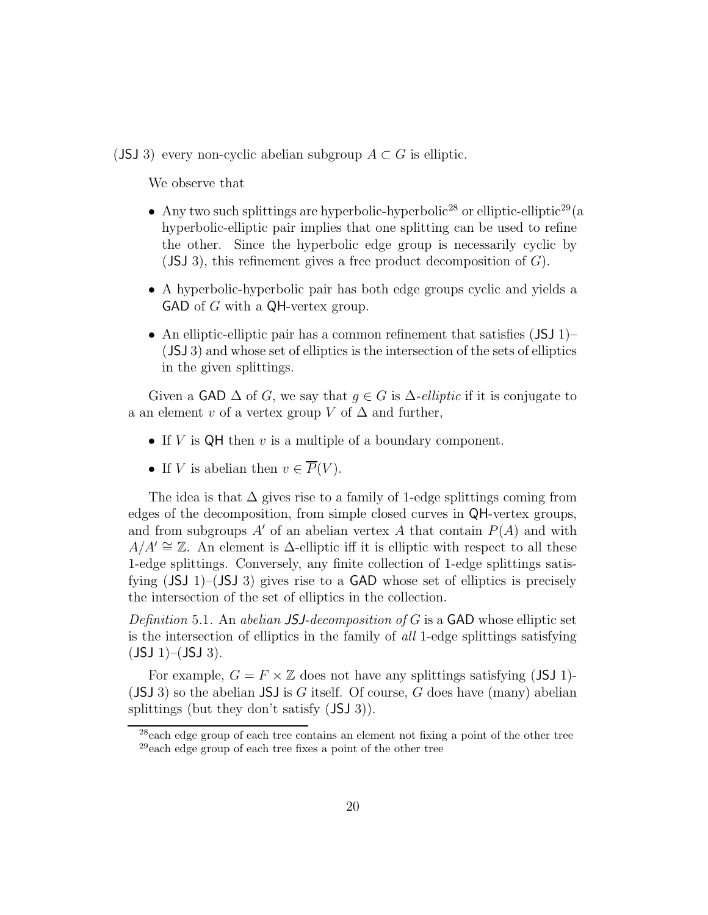(JSJ 3) every non-cyclic abelian subgroup  $A \subset G$  is elliptic.

We observe that

- Any two such splittings are hyperbolic-hyperbolic<sup>28</sup> or elliptic-elliptic<sup>29</sup> (a hyperbolic-elliptic pair implies that one splitting can be used to refine the other. Since the hyperbolic edge group is necessarily cyclic by  $($ JSJ 3 $)$ , this refinement gives a free product decomposition of  $G$ ).
- A hyperbolic-hyperbolic pair has both edge groups cyclic and yields a GAD of G with a QH-vertex group.
- An elliptic-elliptic pair has a common refinement that satisfies  $(JSJ_1)$ (JSJ 3) and whose set of elliptics is the intersection of the sets of elliptics in the given splittings.

Given a GAD  $\Delta$  of G, we say that  $g \in G$  is  $\Delta$ -elliptic if it is conjugate to a an element v of a vertex group V of  $\Delta$  and further,

- If  $V$  is  $QH$  then  $v$  is a multiple of a boundary component.
- If V is abelian then  $v \in \overline{P}(V)$ .

The idea is that  $\Delta$  gives rise to a family of 1-edge splittings coming from edges of the decomposition, from simple closed curves in QH-vertex groups, and from subgroups  $A'$  of an abelian vertex A that contain  $P(A)$  and with  $A/A' \cong \mathbb{Z}$ . An element is  $\Delta$ -elliptic iff it is elliptic with respect to all these 1-edge splittings. Conversely, any finite collection of 1-edge splittings satisfying (JSJ 1)–(JSJ 3) gives rise to a GAD whose set of elliptics is precisely the intersection of the set of elliptics in the collection.

Definition 5.1. An abelian JSJ-decomposition of G is a GAD whose elliptic set is the intersection of elliptics in the family of all 1-edge splittings satisfying  $(JSJ 1)–(JSJ 3).$ 

For example,  $G = F \times \mathbb{Z}$  does not have any splittings satisfying (JSJ 1)- $($ JSJ 3 $)$  so the abelian JSJ is G itself. Of course, G does have (many) abelian splittings (but they don't satisfy (JSJ 3)).

<sup>&</sup>lt;sup>28</sup>each edge group of each tree contains an element not fixing a point of the other tree <sup>29</sup>each edge group of each tree fixes a point of the other tree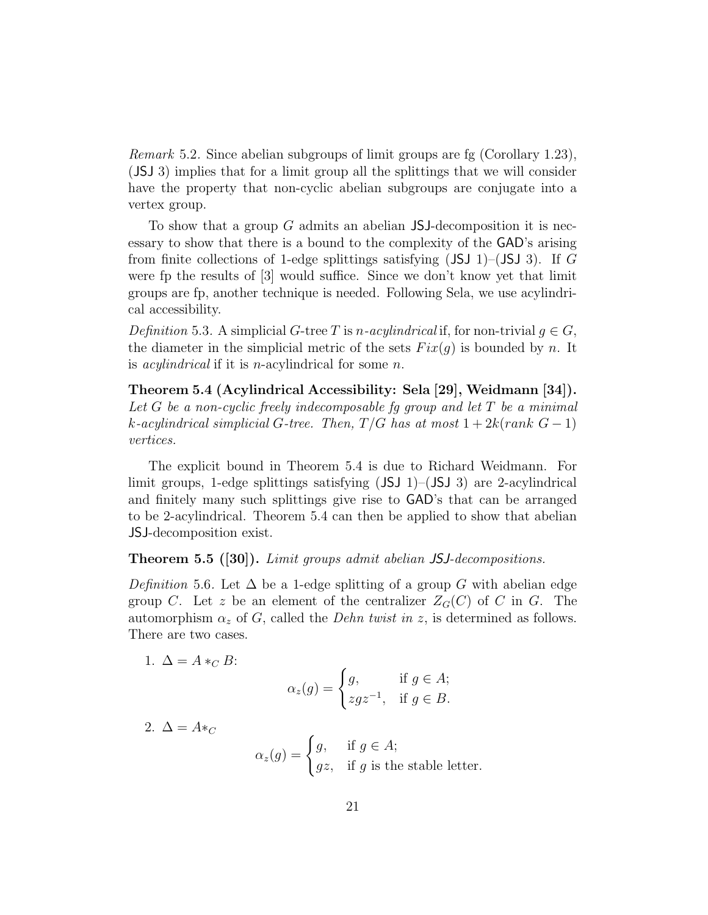Remark 5.2. Since abelian subgroups of limit groups are fg (Corollary 1.23), (JSJ 3) implies that for a limit group all the splittings that we will consider have the property that non-cyclic abelian subgroups are conjugate into a vertex group.

To show that a group  $G$  admits an abelian JSJ-decomposition it is necessary to show that there is a bound to the complexity of the GAD's arising from finite collections of 1-edge splittings satisfying  $(JSJ 1)$ – $(JSJ 3)$ . If G were fp the results of [3] would suffice. Since we don't know yet that limit groups are fp, another technique is needed. Following Sela, we use acylindrical accessibility.

Definition 5.3. A simplicial G-tree T is n-acylindrical if, for non-trivial  $q \in G$ , the diameter in the simplicial metric of the sets  $Fix(q)$  is bounded by n. It is *acylindrical* if it is *n*-acylindrical for some *n*.

Theorem 5.4 (Acylindrical Accessibility: Sela [29], Weidmann [34]). Let G be a non-cyclic freely indecomposable fq group and let  $T$  be a minimal k-acylindrical simplicial G-tree. Then,  $T/G$  has at most  $1+2k(rank G-1)$ vertices.

The explicit bound in Theorem 5.4 is due to Richard Weidmann. For limit groups, 1-edge splittings satisfying  $(JSJ 1)$ – $(JSJ 3)$  are 2-acylindrical and finitely many such splittings give rise to GAD's that can be arranged to be 2-acylindrical. Theorem 5.4 can then be applied to show that abelian JSJ-decomposition exist.

#### Theorem 5.5 ([30]). Limit groups admit abelian JSJ-decompositions.

Definition 5.6. Let  $\Delta$  be a 1-edge splitting of a group G with abelian edge group C. Let z be an element of the centralizer  $Z_G(C)$  of C in G. The automorphism  $\alpha_z$  of G, called the *Dehn twist in z*, is determined as follows. There are two cases.

1.  $\Delta = A *_{C} B$ :

$$
\alpha_z(g) = \begin{cases} g, & \text{if } g \in A; \\ zgz^{-1}, & \text{if } g \in B. \end{cases}
$$

2.  $\Delta = A *_{C}$ 

$$
\alpha_z(g) = \begin{cases} g, & \text{if } g \in A; \\ gz, & \text{if } g \text{ is the stable letter.} \end{cases}
$$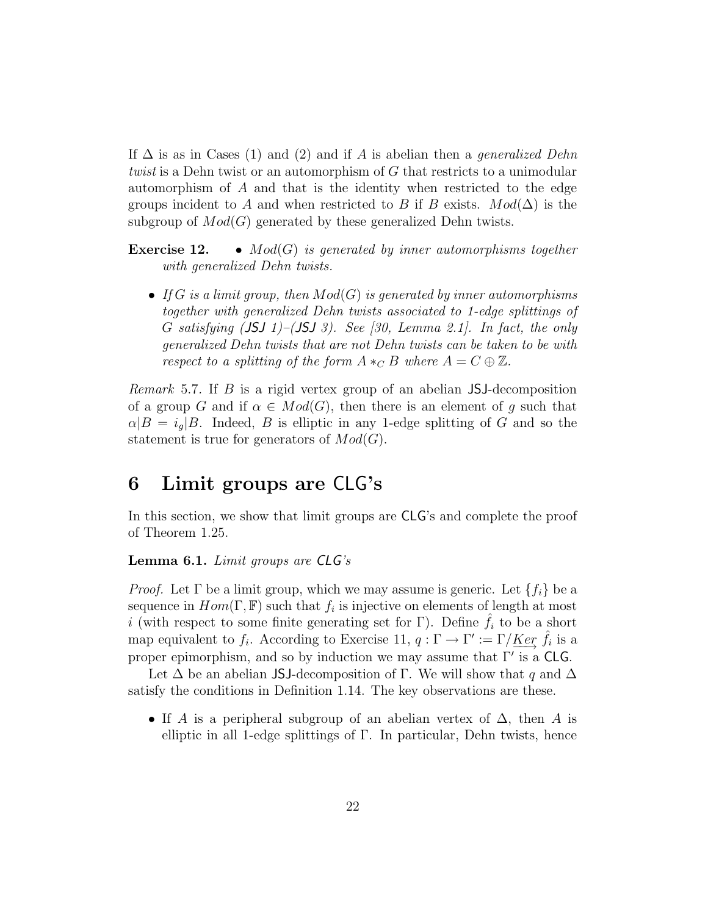If  $\Delta$  is as in Cases (1) and (2) and if A is abelian then a *generalized Dehn* twist is a Dehn twist or an automorphism of G that restricts to a unimodular automorphism of A and that is the identity when restricted to the edge groups incident to A and when restricted to B if B exists.  $Mod(\Delta)$  is the subgroup of  $Mod(G)$  generated by these generalized Dehn twists.

**Exercise 12.** •  $Mod(G)$  is generated by inner automorphisms together with generalized Dehn twists.

• If G is a limit group, then  $Mod(G)$  is generated by inner automorphisms together with generalized Dehn twists associated to 1-edge splittings of G satisfying  $(JSJ 1)$ – $(JSJ 3)$ . See [30, Lemma 2.1]. In fact, the only generalized Dehn twists that are not Dehn twists can be taken to be with respect to a splitting of the form  $A *_C B$  where  $A = C \oplus \mathbb{Z}$ .

Remark 5.7. If B is a rigid vertex group of an abelian JSJ-decomposition of a group G and if  $\alpha \in Mod(G)$ , then there is an element of g such that  $\alpha|B = i_q|B$ . Indeed, B is elliptic in any 1-edge splitting of G and so the statement is true for generators of  $Mod(G)$ .

### 6 Limit groups are CLG's

In this section, we show that limit groups are CLG's and complete the proof of Theorem 1.25.

#### **Lemma 6.1.** Limit groups are  $CLG's$

*Proof.* Let  $\Gamma$  be a limit group, which we may assume is generic. Let  $\{f_i\}$  be a sequence in  $Hom(\Gamma, \mathbb{F})$  such that  $f_i$  is injective on elements of length at most i (with respect to some finite generating set for Γ). Define  $\hat{f}_i$  to be a short map equivalent to  $f_i$ . According to Exercise 11,  $q: \Gamma \to \Gamma' := \Gamma / \underline{Ker} \hat{f}_i$  is a proper epimorphism, and so by induction we may assume that  $\Gamma'$  is a CLG.

Let  $\Delta$  be an abelian JSJ-decomposition of Γ. We will show that q and  $\Delta$ satisfy the conditions in Definition 1.14. The key observations are these.

• If A is a peripheral subgroup of an abelian vertex of  $\Delta$ , then A is elliptic in all 1-edge splittings of  $\Gamma$ . In particular, Dehn twists, hence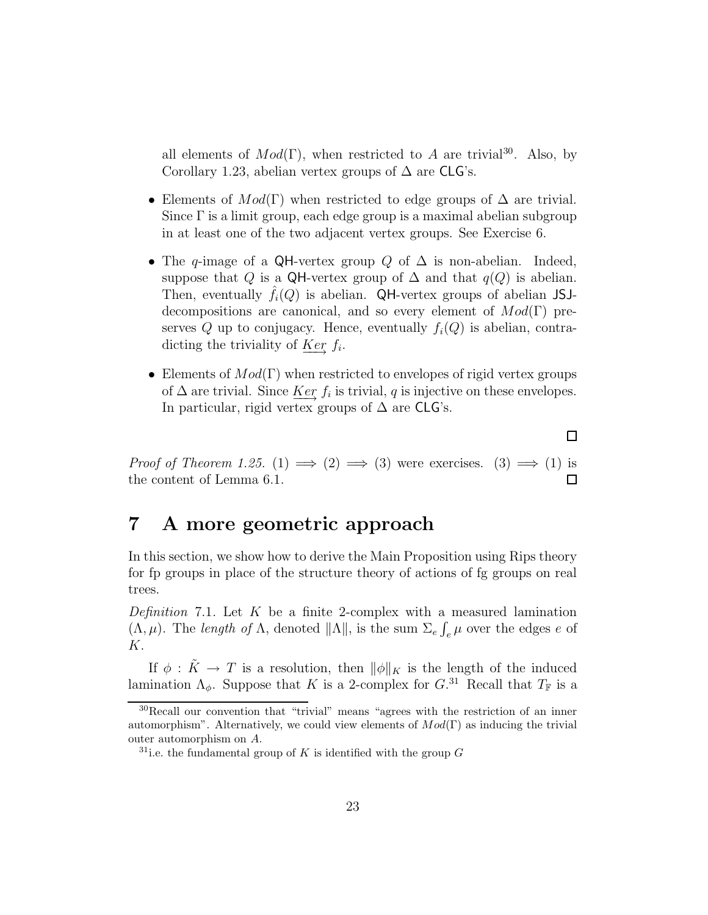all elements of  $Mod(\Gamma)$ , when restricted to A are trivial<sup>30</sup>. Also, by Corollary 1.23, abelian vertex groups of  $\Delta$  are CLG's.

- Elements of  $Mod(\Gamma)$  when restricted to edge groups of  $\Delta$  are trivial. Since Γ is a limit group, each edge group is a maximal abelian subgroup in at least one of the two adjacent vertex groups. See Exercise 6.
- The q-image of a QH-vertex group Q of  $\Delta$  is non-abelian. Indeed, suppose that Q is a QH-vertex group of  $\Delta$  and that  $q(Q)$  is abelian. Then, eventually  $f_i(Q)$  is abelian. QH-vertex groups of abelian JSJdecompositions are canonical, and so every element of  $Mod(Γ)$  preserves Q up to conjugacy. Hence, eventually  $f_i(Q)$  is abelian, contradicting the triviality of  $\underline{Ker} f_i$ .
- Elements of  $Mod(\Gamma)$  when restricted to envelopes of rigid vertex groups of  $\Delta$  are trivial. Since  $\underline{Ker} f_i$  is trivial, q is injective on these envelopes. In particular, rigid vertex groups of  $\Delta$  are CLG's.

*Proof of Theorem 1.25.* (1)  $\implies$  (2)  $\implies$  (3) were exercises. (3)  $\implies$  (1) is the content of Lemma 6.1.  $\Box$ 

# 7 A more geometric approach

In this section, we show how to derive the Main Proposition using Rips theory for fp groups in place of the structure theory of actions of fg groups on real trees.

Definition 7.1. Let  $K$  be a finite 2-complex with a measured lamination  $(\Lambda, \mu)$ . The length of  $\Lambda$ , denoted  $\|\Lambda\|$ , is the sum  $\Sigma_e \int_e \mu$  over the edges e of K.

If  $\phi : \tilde{K} \to T$  is a resolution, then  $\|\phi\|_{K}$  is the length of the induced lamination  $\Lambda_{\phi}$ . Suppose that K is a 2-complex for  $G^{31}$  Recall that  $T_{\mathbb{F}}$  is a

 $\Box$ 

<sup>30</sup>Recall our convention that "trivial" means "agrees with the restriction of an inner automorphism". Alternatively, we could view elements of  $Mod(\Gamma)$  as inducing the trivial outer automorphism on A.

<sup>&</sup>lt;sup>31</sup>i.e. the fundamental group of K is identified with the group G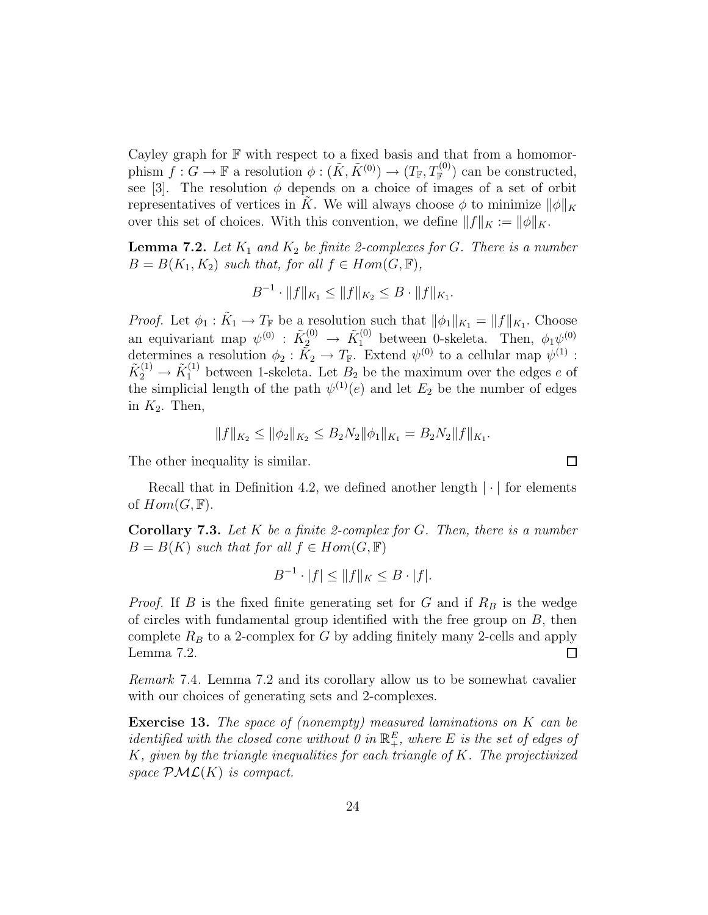Cayley graph for  $\mathbb F$  with respect to a fixed basis and that from a homomorphism  $f: G \to \mathbb{F}$  a resolution  $\phi: (\tilde{K}, \tilde{K}^{(0)}) \to (T_{\mathbb{F}}, T_{\mathbb{F}}^{(0)})$  can be constructed, see [3]. The resolution  $\phi$  depends on a choice of images of a set of orbit representatives of vertices in K. We will always choose  $\phi$  to minimize  $\|\phi\|_K$ over this set of choices. With this convention, we define  $||f||_K := ||\phi||_K$ .

**Lemma 7.2.** Let  $K_1$  and  $K_2$  be finite 2-complexes for G. There is a number  $B = B(K_1, K_2)$  such that, for all  $f \in Hom(G, \mathbb{F}),$ 

$$
B^{-1} \cdot ||f||_{K_1} \le ||f||_{K_2} \le B \cdot ||f||_{K_1}.
$$

*Proof.* Let  $\phi_1 : \tilde{K}_1 \to T_{\mathbb{F}}$  be a resolution such that  $||\phi_1||_{K_1} = ||f||_{K_1}$ . Choose an equivariant map  $\psi^{(0)}$  :  $\tilde{K}_2^{(0)} \to \tilde{K}_1^{(0)}$  between 0-skeleta. Then,  $\phi_1 \psi^{(0)}$ determines a resolution  $\phi_2 : \tilde{K}_2 \to T_{\mathbb{F}}$ . Extend  $\psi^{(0)}$  to a cellular map  $\psi^{(1)}$ :  $\tilde{K}_2^{(1)} \to \tilde{K}_1^{(1)}$  between 1-skeleta. Let  $B_2$  be the maximum over the edges e of the simplicial length of the path  $\psi^{(1)}(e)$  and let  $E_2$  be the number of edges in  $K_2$ . Then,

$$
||f||_{K_2} \le ||\phi_2||_{K_2} \le B_2 N_2 ||\phi_1||_{K_1} = B_2 N_2 ||f||_{K_1}.
$$

The other inequality is similar.

Recall that in Definition 4.2, we defined another length  $|\cdot|$  for elements of  $Hom(G, \mathbb{F})$ .

**Corollary 7.3.** Let  $K$  be a finite 2-complex for  $G$ . Then, there is a number  $B = B(K)$  such that for all  $f \in Hom(G, \mathbb{F})$ 

$$
B^{-1} \cdot |f| \le ||f||_K \le B \cdot |f|.
$$

*Proof.* If B is the fixed finite generating set for G and if  $R_B$  is the wedge of circles with fundamental group identified with the free group on  $B$ , then complete  $R_B$  to a 2-complex for G by adding finitely many 2-cells and apply Lemma 7.2.  $\Box$ 

Remark 7.4. Lemma 7.2 and its corollary allow us to be somewhat cavalier with our choices of generating sets and 2-complexes.

Exercise 13. The space of (nonempty) measured laminations on K can be identified with the closed cone without 0 in  $\mathbb{R}^E_+$ , where E is the set of edges of  $K$ , given by the triangle inequalities for each triangle of  $K$ . The projectivized space  $\mathcal{PML}(K)$  is compact.

 $\Box$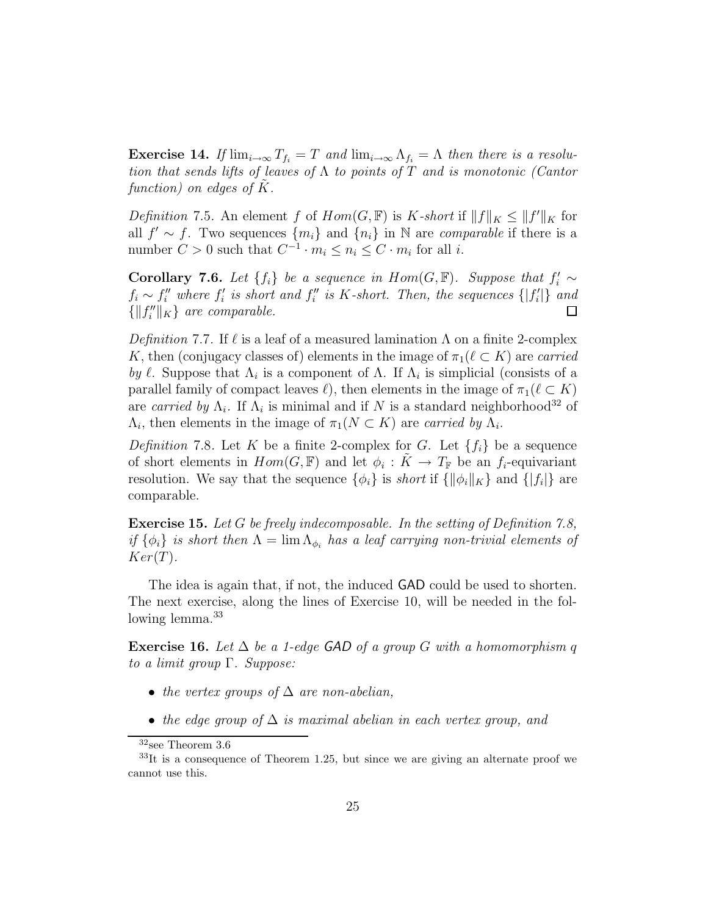**Exercise 14.** If  $\lim_{i\to\infty} T_{f_i} = T$  and  $\lim_{i\to\infty} \Lambda_{f_i} = \Lambda$  then there is a resolution that sends lifts of leaves of  $\Lambda$  to points of T and is monotonic (Cantor function) on edges of  $K$ .

*Definition* 7.5. An element f of  $Hom(G, \mathbb{F})$  is K-short if  $||f||_K \leq ||f'||_K$  for all  $f' \sim f$ . Two sequences  $\{m_i\}$  and  $\{n_i\}$  in N are *comparable* if there is a number  $C > 0$  such that  $C^{-1} \cdot m_i \leq n_i \leq C \cdot m_i$  for all *i*.

**Corollary 7.6.** Let  $\{f_i\}$  be a sequence in  $Hom(G, \mathbb{F})$ . Suppose that  $f'_i \sim$  $f_i \sim f''_i$  where  $f'_i$  is short and  $f''_i$  is K-short. Then, the sequences  $\{|f'_i|\}$  and  $\{||f''_i||_K\}$  are comparable.  $\Box$ 

Definition 7.7. If  $\ell$  is a leaf of a measured lamination  $\Lambda$  on a finite 2-complex K, then (conjugacy classes of) elements in the image of  $\pi_1(\ell \subset K)$  are carried by  $\ell$ . Suppose that  $\Lambda_i$  is a component of  $\Lambda$ . If  $\Lambda_i$  is simplicial (consists of a parallel family of compact leaves  $\ell$ , then elements in the image of  $\pi_1(\ell \subset K)$ are carried by  $\Lambda_i$ . If  $\Lambda_i$  is minimal and if N is a standard neighborhood<sup>32</sup> of  $\Lambda_i$ , then elements in the image of  $\pi_1(N \subset K)$  are carried by  $\Lambda_i$ .

Definition 7.8. Let K be a finite 2-complex for G. Let  $\{f_i\}$  be a sequence of short elements in  $Hom(G, \mathbb{F})$  and let  $\phi_i : \tilde{K} \to T_{\mathbb{F}}$  be an  $f_i$ -equivariant resolution. We say that the sequence  $\{\phi_i\}$  is *short* if  $\{\|\phi_i\|_K\}$  and  $\{|f_i|\}$  are comparable.

Exercise 15. Let G be freely indecomposable. In the setting of Definition 7.8, if  $\{\phi_i\}$  is short then  $\Lambda = \lim_{\phi_i} \Lambda_{\phi_i}$  has a leaf carrying non-trivial elements of  $Ker(T)$ .

The idea is again that, if not, the induced GAD could be used to shorten. The next exercise, along the lines of Exercise 10, will be needed in the following lemma.<sup>33</sup>

Exercise 16. Let  $\Delta$  be a 1-edge GAD of a group G with a homomorphism q to a limit group  $\Gamma$ . Suppose:

- the vertex groups of  $\Delta$  are non-abelian,
- the edge group of  $\Delta$  is maximal abelian in each vertex group, and

 $32$ see Theorem 3.6

 $33$ It is a consequence of Theorem 1.25, but since we are giving an alternate proof we cannot use this.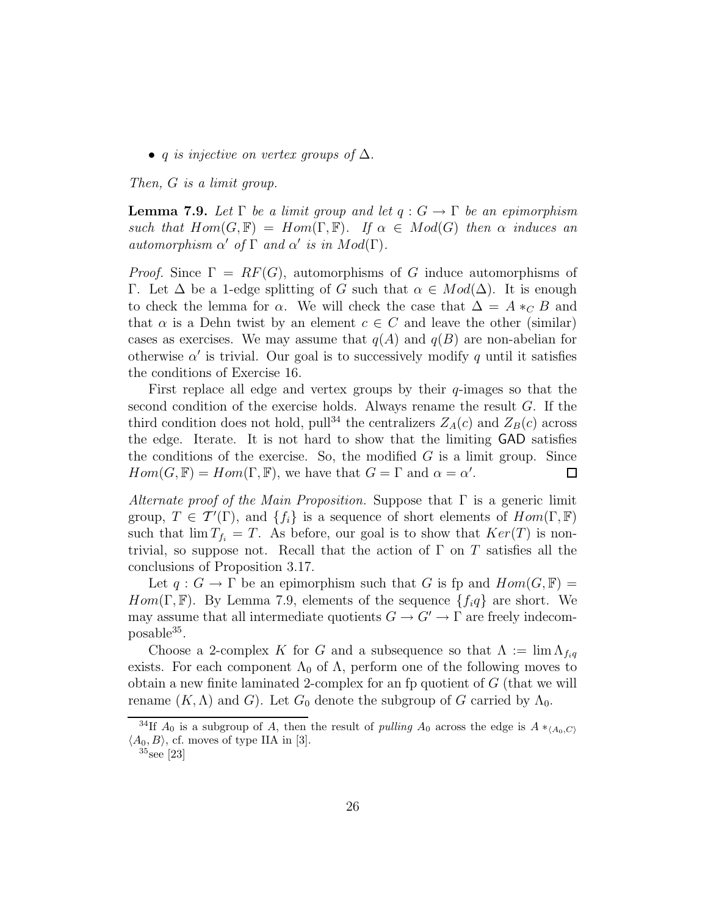• q is injective on vertex groups of  $\Delta$ .

Then, G is a limit group.

**Lemma 7.9.** Let  $\Gamma$  be a limit group and let  $q: G \to \Gamma$  be an epimorphism such that  $Hom(G, \mathbb{F}) = Hom(\Gamma, \mathbb{F})$ . If  $\alpha \in Mod(G)$  then  $\alpha$  induces an automorphism  $\alpha'$  of  $\Gamma$  and  $\alpha'$  is in  $Mod(\Gamma)$ .

*Proof.* Since  $\Gamma = RF(G)$ , automorphisms of G induce automorphisms of Γ. Let Δ be a 1-edge splitting of G such that  $\alpha \in Mod(\Delta)$ . It is enough to check the lemma for  $\alpha$ . We will check the case that  $\Delta = A *_{C} B$  and that  $\alpha$  is a Dehn twist by an element  $c \in C$  and leave the other (similar) cases as exercises. We may assume that  $q(A)$  and  $q(B)$  are non-abelian for otherwise  $\alpha'$  is trivial. Our goal is to successively modify q until it satisfies the conditions of Exercise 16.

First replace all edge and vertex groups by their  $q$ -images so that the second condition of the exercise holds. Always rename the result G. If the third condition does not hold, pull<sup>34</sup> the centralizers  $Z_A(c)$  and  $Z_B(c)$  across the edge. Iterate. It is not hard to show that the limiting GAD satisfies the conditions of the exercise. So, the modified  $G$  is a limit group. Since  $Hom(G, \mathbb{F}) = Hom(\Gamma, \mathbb{F})$ , we have that  $G = \Gamma$  and  $\alpha = \alpha'$ . □

Alternate proof of the Main Proposition. Suppose that  $\Gamma$  is a generic limit group,  $T \in \mathcal{T}'(\Gamma)$ , and  $\{f_i\}$  is a sequence of short elements of  $Hom(\Gamma, \mathbb{F})$ such that  $\lim T_{f_i} = T$ . As before, our goal is to show that  $Ker(T)$  is nontrivial, so suppose not. Recall that the action of  $\Gamma$  on  $T$  satisfies all the conclusions of Proposition 3.17.

Let  $q: G \to \Gamma$  be an epimorphism such that G is fp and  $Hom(G, \mathbb{F}) =$  $Hom(\Gamma, \mathbb{F})$ . By Lemma 7.9, elements of the sequence  $\{f_i q\}$  are short. We may assume that all intermediate quotients  $G \to G' \to \Gamma$  are freely indecom- $_{\rm possible}$ <sup>35</sup>.

Choose a 2-complex K for G and a subsequence so that  $\Lambda := \lim_{\Delta f_{i,q}} \Lambda_{f_{i,q}}$ exists. For each component  $\Lambda_0$  of  $\Lambda$ , perform one of the following moves to obtain a new finite laminated 2-complex for an fp quotient of  $G$  (that we will rename  $(K, \Lambda)$  and G). Let  $G_0$  denote the subgroup of G carried by  $\Lambda_0$ .

<sup>&</sup>lt;sup>34</sup>If  $A_0$  is a subgroup of A, then the result of *pulling*  $A_0$  across the edge is  $A *_{(A_0,C)}$  $\langle A_0, B \rangle$ , cf. moves of type IIA in [3].

<sup>35</sup>see [23]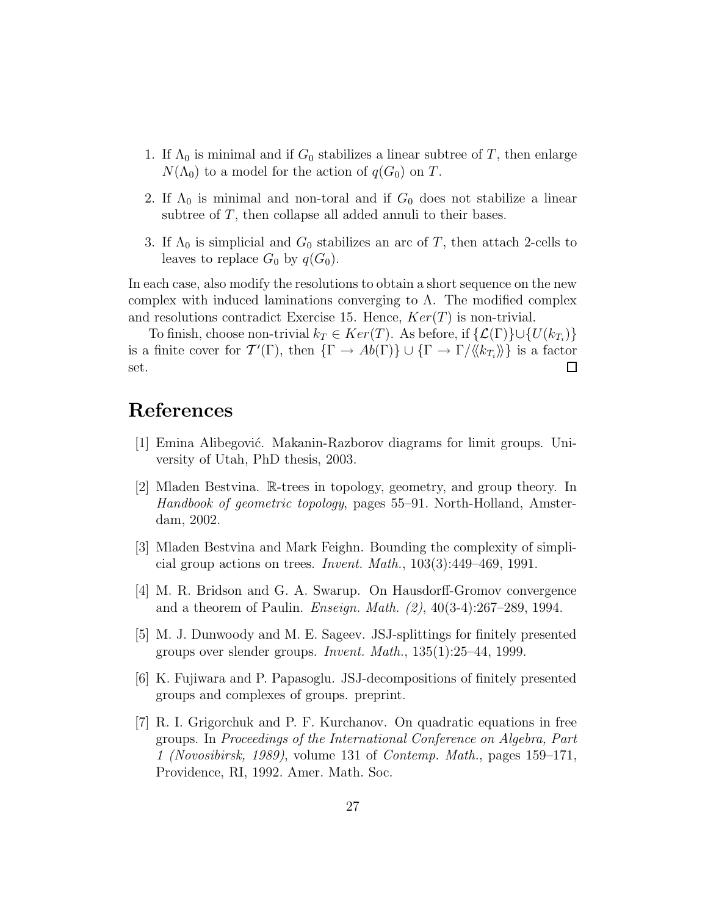- 1. If  $\Lambda_0$  is minimal and if  $G_0$  stabilizes a linear subtree of T, then enlarge  $N(\Lambda_0)$  to a model for the action of  $q(G_0)$  on T.
- 2. If  $\Lambda_0$  is minimal and non-toral and if  $G_0$  does not stabilize a linear subtree of T, then collapse all added annuli to their bases.
- 3. If  $\Lambda_0$  is simplicial and  $G_0$  stabilizes an arc of T, then attach 2-cells to leaves to replace  $G_0$  by  $q(G_0)$ .

In each case, also modify the resolutions to obtain a short sequence on the new complex with induced laminations converging to  $\Lambda$ . The modified complex and resolutions contradict Exercise 15. Hence,  $Ker(T)$  is non-trivial.

To finish, choose non-trivial  $k_T \in Ker(T)$ . As before, if  $\{\mathcal{L}(\Gamma)\}\cup \{U(k_{T_i})\}$ is a finite cover for  $\mathcal{T}'(\Gamma)$ , then  $\{\Gamma \to Ab(\Gamma)\} \cup \{\Gamma \to \Gamma/\langle k_{T_i}\rangle\}$  is a factor set.  $\Box$ 

# References

- [1] Emina Alibegović. Makanin-Razborov diagrams for limit groups. University of Utah, PhD thesis, 2003.
- [2] Mladen Bestvina. R-trees in topology, geometry, and group theory. In Handbook of geometric topology, pages 55–91. North-Holland, Amsterdam, 2002.
- [3] Mladen Bestvina and Mark Feighn. Bounding the complexity of simplicial group actions on trees. Invent. Math., 103(3):449–469, 1991.
- [4] M. R. Bridson and G. A. Swarup. On Hausdorff-Gromov convergence and a theorem of Paulin. Enseign. Math. (2), 40(3-4):267–289, 1994.
- [5] M. J. Dunwoody and M. E. Sageev. JSJ-splittings for finitely presented groups over slender groups. Invent. Math., 135(1):25–44, 1999.
- [6] K. Fujiwara and P. Papasoglu. JSJ-decompositions of finitely presented groups and complexes of groups. preprint.
- [7] R. I. Grigorchuk and P. F. Kurchanov. On quadratic equations in free groups. In Proceedings of the International Conference on Algebra, Part 1 (Novosibirsk, 1989), volume 131 of Contemp. Math., pages 159–171, Providence, RI, 1992. Amer. Math. Soc.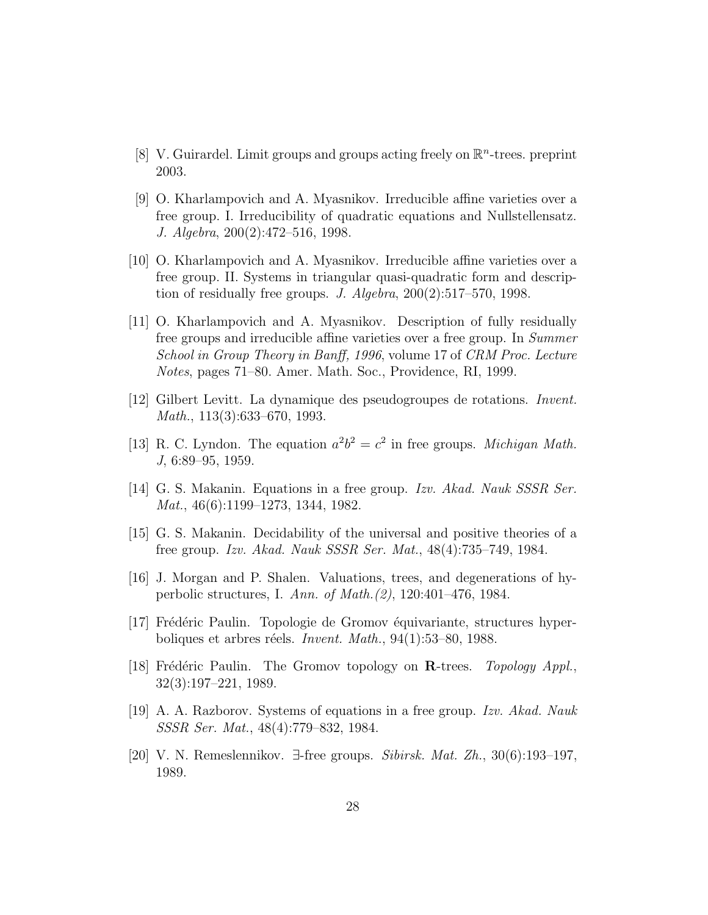- [8] V. Guirardel. Limit groups and groups acting freely on  $\mathbb{R}^n$ -trees. preprint 2003.
- [9] O. Kharlampovich and A. Myasnikov. Irreducible affine varieties over a free group. I. Irreducibility of quadratic equations and Nullstellensatz. J. Algebra, 200(2):472–516, 1998.
- [10] O. Kharlampovich and A. Myasnikov. Irreducible affine varieties over a free group. II. Systems in triangular quasi-quadratic form and description of residually free groups. J. Algebra, 200(2):517–570, 1998.
- [11] O. Kharlampovich and A. Myasnikov. Description of fully residually free groups and irreducible affine varieties over a free group. In Summer School in Group Theory in Banff, 1996, volume 17 of CRM Proc. Lecture Notes, pages 71–80. Amer. Math. Soc., Providence, RI, 1999.
- [12] Gilbert Levitt. La dynamique des pseudogroupes de rotations. Invent. Math., 113(3):633–670, 1993.
- [13] R. C. Lyndon. The equation  $a^2b^2 = c^2$  in free groups. *Michigan Math.* J, 6:89–95, 1959.
- [14] G. S. Makanin. Equations in a free group. Izv. Akad. Nauk SSSR Ser. Mat., 46(6):1199–1273, 1344, 1982.
- [15] G. S. Makanin. Decidability of the universal and positive theories of a free group. Izv. Akad. Nauk SSSR Ser. Mat., 48(4):735–749, 1984.
- [16] J. Morgan and P. Shalen. Valuations, trees, and degenerations of hyperbolic structures, I. Ann. of Math.(2), 120:401–476, 1984.
- [17] Frédéric Paulin. Topologie de Gromov équivariante, structures hyperboliques et arbres réels. Invent. Math.,  $94(1):53-80$ , 1988.
- [18] Frédéric Paulin. The Gromov topology on  $\mathbf{R}\text{-trees.}$  Topology Appl., 32(3):197–221, 1989.
- [19] A. A. Razborov. Systems of equations in a free group. Izv. Akad. Nauk SSSR Ser. Mat., 48(4):779–832, 1984.
- [20] V. N. Remeslennikov. ∃-free groups. Sibirsk. Mat. Zh., 30(6):193–197, 1989.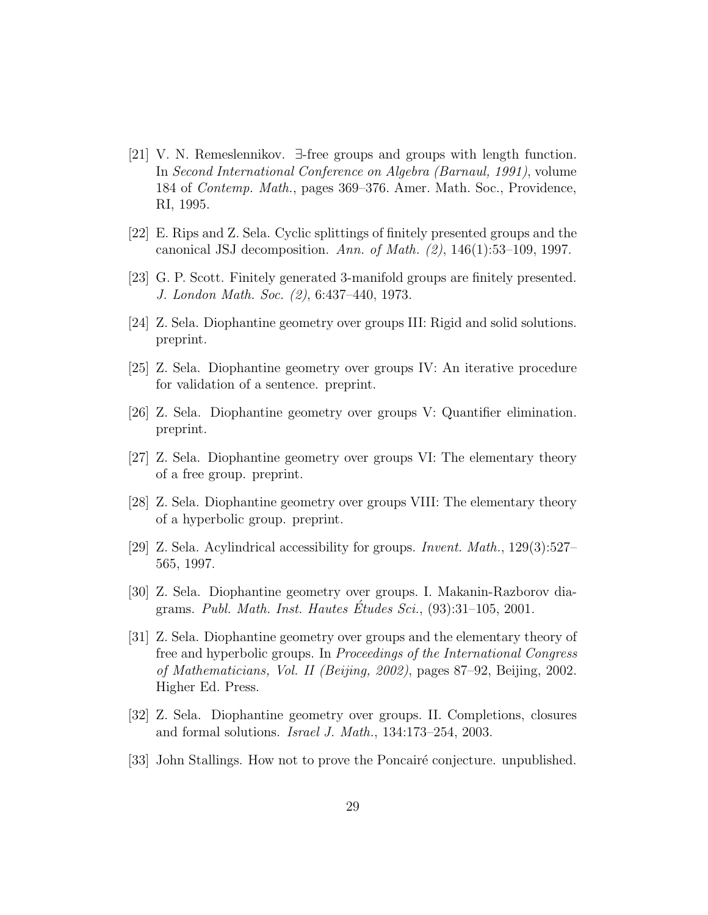- [21] V. N. Remeslennikov. ∃-free groups and groups with length function. In Second International Conference on Algebra (Barnaul, 1991), volume 184 of Contemp. Math., pages 369–376. Amer. Math. Soc., Providence, RI, 1995.
- [22] E. Rips and Z. Sela. Cyclic splittings of finitely presented groups and the canonical JSJ decomposition. Ann. of Math.  $(2)$ , 146(1):53–109, 1997.
- [23] G. P. Scott. Finitely generated 3-manifold groups are finitely presented. J. London Math. Soc. (2), 6:437–440, 1973.
- [24] Z. Sela. Diophantine geometry over groups III: Rigid and solid solutions. preprint.
- [25] Z. Sela. Diophantine geometry over groups IV: An iterative procedure for validation of a sentence. preprint.
- [26] Z. Sela. Diophantine geometry over groups V: Quantifier elimination. preprint.
- [27] Z. Sela. Diophantine geometry over groups VI: The elementary theory of a free group. preprint.
- [28] Z. Sela. Diophantine geometry over groups VIII: The elementary theory of a hyperbolic group. preprint.
- [29] Z. Sela. Acylindrical accessibility for groups. Invent. Math., 129(3):527– 565, 1997.
- [30] Z. Sela. Diophantine geometry over groups. I. Makanin-Razborov diagrams. Publ. Math. Inst. Hautes Etudes  $Sci.$ , (93):31–105, 2001.
- [31] Z. Sela. Diophantine geometry over groups and the elementary theory of free and hyperbolic groups. In Proceedings of the International Congress of Mathematicians, Vol. II (Beijing, 2002), pages 87–92, Beijing, 2002. Higher Ed. Press.
- [32] Z. Sela. Diophantine geometry over groups. II. Completions, closures and formal solutions. Israel J. Math., 134:173–254, 2003.
- [33] John Stallings. How not to prove the Poncairé conjecture. unpublished.